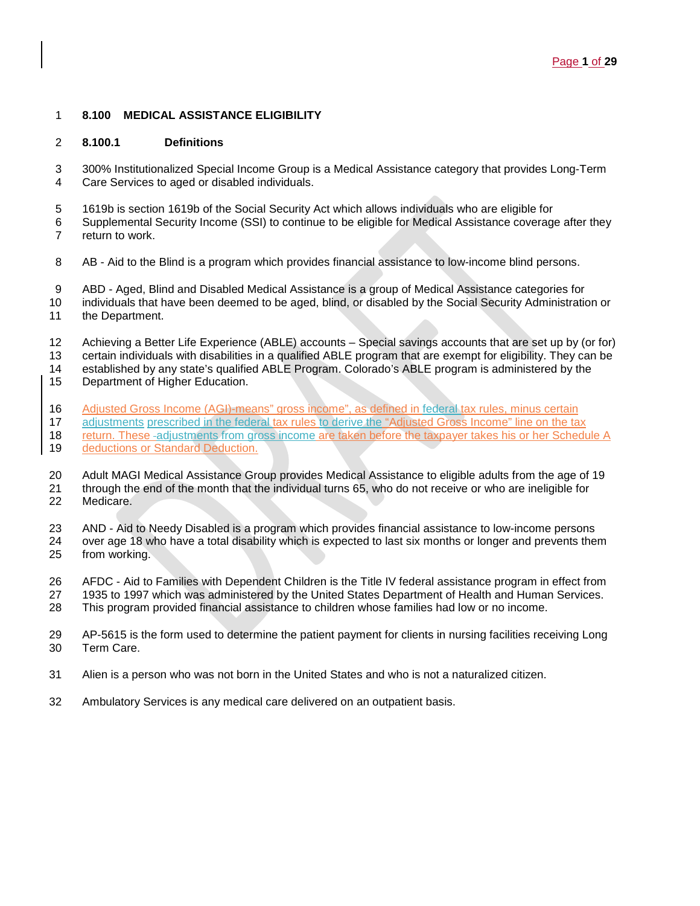## **8.100 MEDICAL ASSISTANCE ELIGIBILITY**

#### **8.100.1 Definitions**

 300% Institutionalized Special Income Group is a Medical Assistance category that provides Long-Term Care Services to aged or disabled individuals.

- 1619b is section 1619b of the Social Security Act which allows individuals who are eligible for
- Supplemental Security Income (SSI) to continue to be eligible for Medical Assistance coverage after they return to work.
- AB Aid to the Blind is a program which provides financial assistance to low-income blind persons.
- ABD Aged, Blind and Disabled Medical Assistance is a group of Medical Assistance categories for
- 10 individuals that have been deemed to be aged, blind, or disabled by the Social Security Administration or 11
- the Department.
- Achieving a Better Life Experience (ABLE) accounts Special savings accounts that are set up by (or for) certain individuals with disabilities in a qualified ABLE program that are exempt for eligibility. They can be
- established by any state's qualified ABLE Program. Colorado's ABLE program is administered by the
- Department of Higher Education.
- 16 Adjusted Gross Income (AGI)-means" gross income", as defined in federal tax rules, minus certain<br>17 adjustments prescribed in the federal tax rules to derive the "Adjusted Gross Income" line on the tax
- adjustments prescribed in the federal tax rules to derive the "Adjusted Gross Income" line on the tax
- 18 return. These -adjustments from gross income are taken before the taxpayer takes his or her Schedule A<br>19 deductions or Standard Deduction. deductions or Standard Deduction.
- Adult MAGI Medical Assistance Group provides Medical Assistance to eligible adults from the age of 19
- through the end of the month that the individual turns 65, who do not receive or who are ineligible for Medicare.
- AND Aid to Needy Disabled is a program which provides financial assistance to low-income persons
- over age 18 who have a total disability which is expected to last six months or longer and prevents them from working.
- AFDC Aid to Families with Dependent Children is the Title IV federal assistance program in effect from
- 1935 to 1997 which was administered by the United States Department of Health and Human Services.
- This program provided financial assistance to children whose families had low or no income.
- AP-5615 is the form used to determine the patient payment for clients in nursing facilities receiving Long Term Care.
- Alien is a person who was not born in the United States and who is not a naturalized citizen.
- Ambulatory Services is any medical care delivered on an outpatient basis.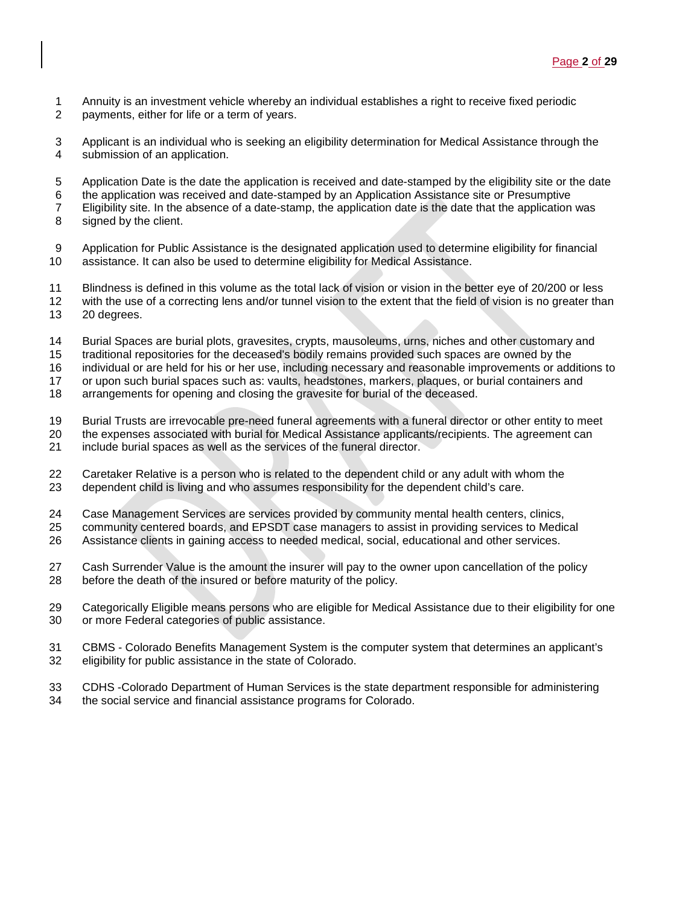- 1 Annuity is an investment vehicle whereby an individual establishes a right to receive fixed periodic<br>2 payments, either for life or a term of years.
- payments, either for life or a term of years.
- Applicant is an individual who is seeking an eligibility determination for Medical Assistance through the submission of an application.
- Application Date is the date the application is received and date-stamped by the eligibility site or the date
- the application was received and date-stamped by an Application Assistance site or Presumptive
- Eligibility site. In the absence of a date-stamp, the application date is the date that the application was signed by the client.
- Application for Public Assistance is the designated application used to determine eligibility for financial assistance. It can also be used to determine eligibility for Medical Assistance.
- Blindness is defined in this volume as the total lack of vision or vision in the better eye of 20/200 or less 12 with the use of a correcting lens and/or tunnel vision to the extent that the field of vision is no greater than<br>13 20 degrees. 20 degrees.
- 
- 14 Burial Spaces are burial plots, gravesites, crypts, mausoleums, urns, niches and other customary and<br>15 traditional repositories for the deceased's bodily remains provided such spaces are owned by the traditional repositories for the deceased's bodily remains provided such spaces are owned by the
- individual or are held for his or her use, including necessary and reasonable improvements or additions to
- or upon such burial spaces such as: vaults, headstones, markers, plaques, or burial containers and
- arrangements for opening and closing the gravesite for burial of the deceased.
- 19 Burial Trusts are irrevocable pre-need funeral agreements with a funeral director or other entity to meet<br>20 the expenses associated with burial for Medical Assistance applicants/recipients. The agreement can
- the expenses associated with burial for Medical Assistance applicants/recipients. The agreement can
- include burial spaces as well as the services of the funeral director.
- Caretaker Relative is a person who is related to the dependent child or any adult with whom the dependent child is living and who assumes responsibility for the dependent child's care.
- Case Management Services are services provided by community mental health centers, clinics,
- community centered boards, and EPSDT case managers to assist in providing services to Medical
- Assistance clients in gaining access to needed medical, social, educational and other services.
- Cash Surrender Value is the amount the insurer will pay to the owner upon cancellation of the policy before the death of the insured or before maturity of the policy.
- Categorically Eligible means persons who are eligible for Medical Assistance due to their eligibility for one or more Federal categories of public assistance.
- 31 CBMS Colorado Benefits Management System is the computer system that determines an applicant's 32 eligibility for public assistance in the state of Colorado. eligibility for public assistance in the state of Colorado.
- CDHS -Colorado Department of Human Services is the state department responsible for administering
- the social service and financial assistance programs for Colorado.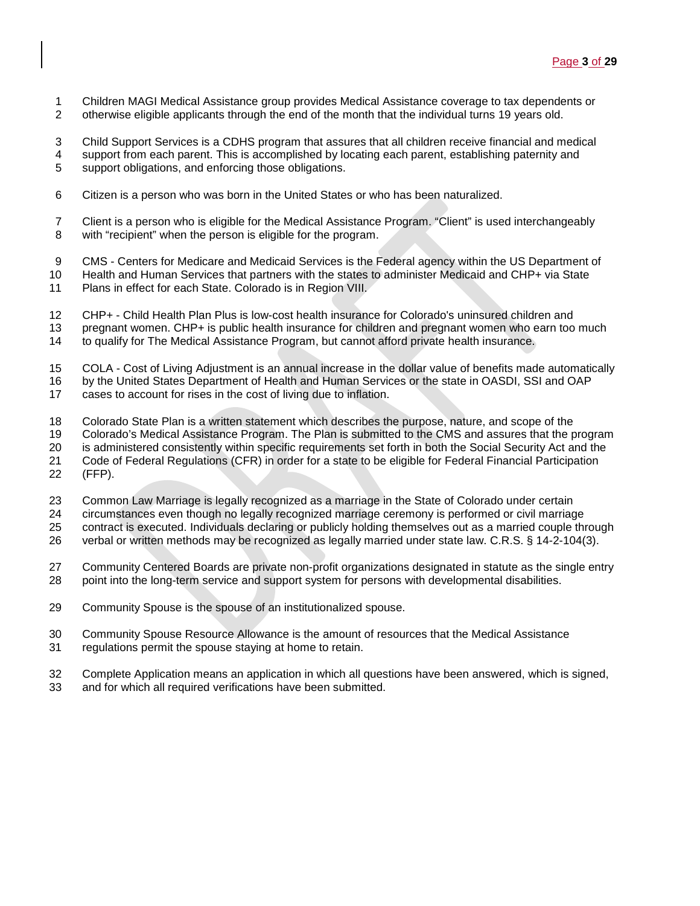- 1 Children MAGI Medical Assistance group provides Medical Assistance coverage to tax dependents or<br>2 otherwise eligible applicants through the end of the month that the individual turns 19 years old.
- otherwise eligible applicants through the end of the month that the individual turns 19 years old.

 Child Support Services is a CDHS program that assures that all children receive financial and medical 4 support from each parent. This is accomplished by locating each parent, establishing paternity and solutions, and enforcing those obligations. support obligations, and enforcing those obligations.

- Citizen is a person who was born in the United States or who has been naturalized.
- Client is a person who is eligible for the Medical Assistance Program. "Client" is used interchangeably with "recipient" when the person is eligible for the program.
- CMS Centers for Medicare and Medicaid Services is the Federal agency within the US Department of
- Health and Human Services that partners with the states to administer Medicaid and CHP+ via State
- Plans in effect for each State. Colorado is in Region VIII.
- CHP+ Child Health Plan Plus is low-cost health insurance for Colorado's uninsured children and
- pregnant women. CHP+ is public health insurance for children and pregnant women who earn too much
- to qualify for The Medical Assistance Program, but cannot afford private health insurance.
- COLA Cost of Living Adjustment is an annual increase in the dollar value of benefits made automatically
- 16 by the United States Department of Health and Human Services or the state in OASDI, SSI and OAP<br>17 cases to account for rises in the cost of living due to inflation.
- cases to account for rises in the cost of living due to inflation.
- 18 Colorado State Plan is a written statement which describes the purpose, nature, and scope of the 19<br>19 Colorado's Medical Assistance Program. The Plan is submitted to the CMS and assures that the p
- 19 Colorado's Medical Assistance Program. The Plan is submitted to the CMS and assures that the program<br>20 is administered consistently within specific requirements set forth in both the Social Security Act and the
- is administered consistently within specific requirements set forth in both the Social Security Act and the
- Code of Federal Regulations (CFR) in order for a state to be eligible for Federal Financial Participation
- (FFP).
- Common Law Marriage is legally recognized as a marriage in the State of Colorado under certain
- circumstances even though no legally recognized marriage ceremony is performed or civil marriage
- 25 contract is executed. Individuals declaring or publicly holding themselves out as a married couple through<br>26 verbal or written methods may be recognized as legally married under state law. C.R.S. § 14-2-104(3).
- verbal or written methods may be recognized as legally married under state law. C.R.S. § 14-2-104(3).
- Community Centered Boards are private non-profit organizations designated in statute as the single entry point into the long-term service and support system for persons with developmental disabilities.
- Community Spouse is the spouse of an institutionalized spouse.
- Community Spouse Resource Allowance is the amount of resources that the Medical Assistance
- regulations permit the spouse staying at home to retain.
- Complete Application means an application in which all questions have been answered, which is signed,
- and for which all required verifications have been submitted.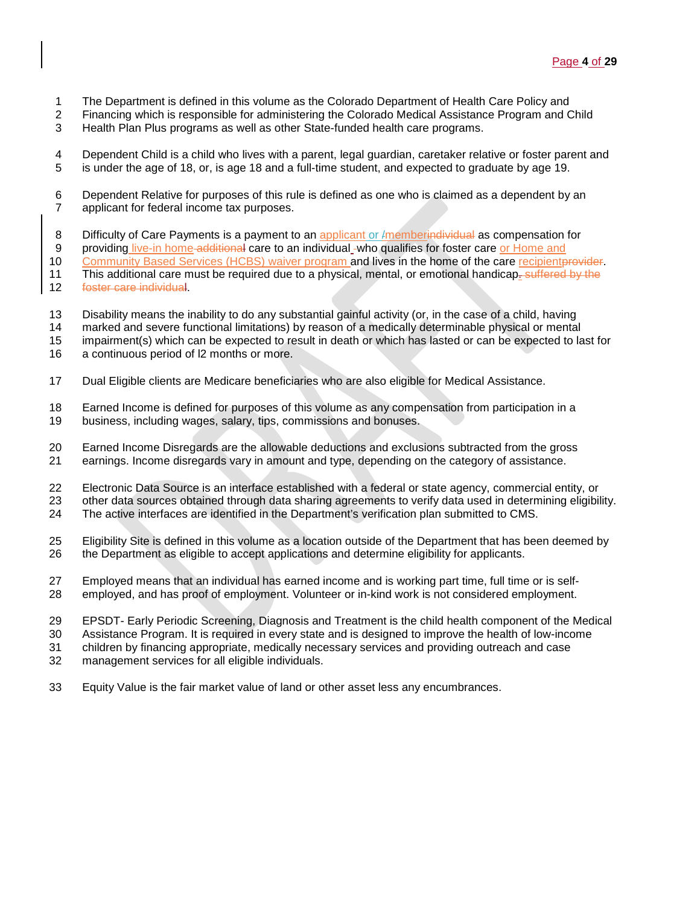- 1 The Department is defined in this volume as the Colorado Department of Health Care Policy and<br>2 Financing which is responsible for administering the Colorado Medical Assistance Program and C
- 2 Financing which is responsible for administering the Colorado Medical Assistance Program and Child
- 3 Health Plan Plus programs as well as other State-funded health care programs.

4 Dependent Child is a child who lives with a parent, legal guardian, caretaker relative or foster parent and <br>5 is under the age of 18, or, is age 18 and a full-time student, and expected to graduate by age 19. is under the age of 18, or, is age 18 and a full-time student, and expected to graduate by age 19.

- 6 Dependent Relative for purposes of this rule is defined as one who is claimed as a dependent by an 7 applicant for federal income tax purposes.
- 8 Difficulty of Care Payments is a payment to an applicant or *I*memberindividual as compensation for
- 9 providing live-in home additional care to an individual -who qualifies for foster care or Home and
- 10 Community Based Services (HCBS) waiver program and lives in the home of the care recipient provider.
- 11 This additional care must be required due to a physical, mental, or emotional handicap. suffered by the 12 foster care individual.
- 
- 13 Disability means the inability to do any substantial gainful activity (or, in the case of a child, having<br>14 marked and severe functional limitations) by reason of a medically determinable physical or mental marked and severe functional limitations) by reason of a medically determinable physical or mental
- 15 impairment(s) which can be expected to result in death or which has lasted or can be expected to last for
- 16 a continuous period of l2 months or more.
- 17 Dual Eligible clients are Medicare beneficiaries who are also eligible for Medical Assistance.
- 18 Earned Income is defined for purposes of this volume as any compensation from participation in a<br>19 business, including wages, salary, tips, commissions and bonuses.
- business, including wages, salary, tips, commissions and bonuses.
- 20 Earned Income Disregards are the allowable deductions and exclusions subtracted from the gross
- 21 earnings. Income disregards vary in amount and type, depending on the category of assistance.
- 22 Electronic Data Source is an interface established with a federal or state agency, commercial entity, or
- 23 other data sources obtained through data sharing agreements to verify data used in determining eligibility.
- 24 The active interfaces are identified in the Department's verification plan submitted to CMS.
- 25 Eligibility Site is defined in this volume as a location outside of the Department that has been deemed by<br>26 the Department as eligible to accept applications and determine eligibility for applicants. the Department as eligible to accept applications and determine eligibility for applicants.
- 27 Employed means that an individual has earned income and is working part time, full time or is self-28 employed, and has proof of employment. Volunteer or in-kind work is not considered employment.
- 29 EPSDT- Early Periodic Screening, Diagnosis and Treatment is the child health component of the Medical
- 30 Assistance Program. It is required in every state and is designed to improve the health of low-income
- 31 children by financing appropriate, medically necessary services and providing outreach and case
- management services for all eligible individuals.
- 33 Equity Value is the fair market value of land or other asset less any encumbrances.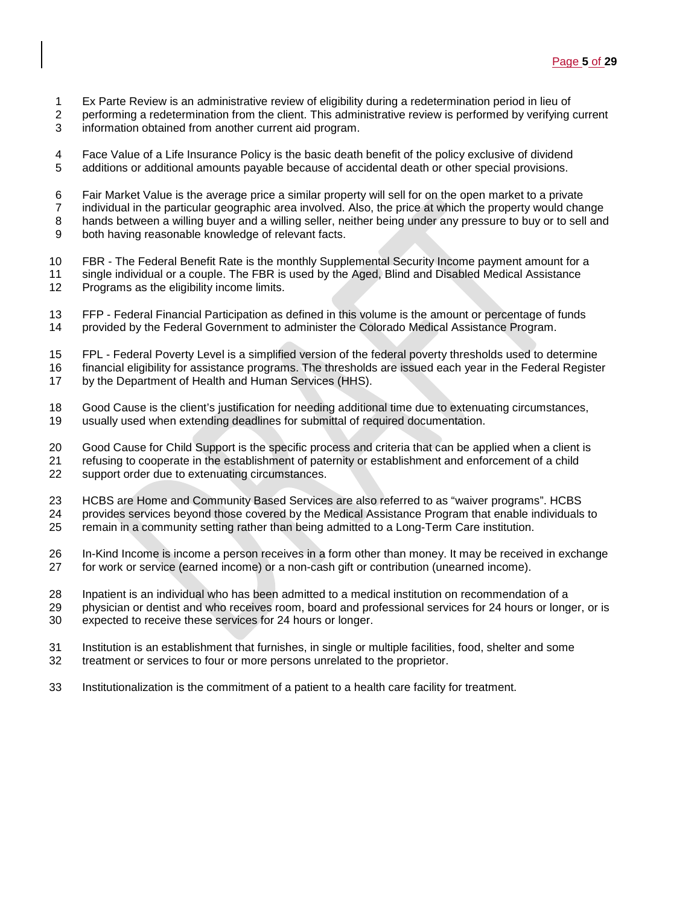- Ex Parte Review is an administrative review of eligibility during a redetermination period in lieu of
- performing a redetermination from the client. This administrative review is performed by verifying current
- information obtained from another current aid program.
- 4 Face Value of a Life Insurance Policy is the basic death benefit of the policy exclusive of dividend<br>5 additions or additional amounts payable because of accidental death or other special provisions. additions or additional amounts payable because of accidental death or other special provisions.
- Fair Market Value is the average price a similar property will sell for on the open market to a private
- individual in the particular geographic area involved. Also, the price at which the property would change
- hands between a willing buyer and a willing seller, neither being under any pressure to buy or to sell and
- both having reasonable knowledge of relevant facts.
- FBR The Federal Benefit Rate is the monthly Supplemental Security Income payment amount for a
- single individual or a couple. The FBR is used by the Aged, Blind and Disabled Medical Assistance Programs as the eligibility income limits.
- 13 FFP Federal Financial Participation as defined in this volume is the amount or percentage of funds 14 provided by the Federal Government to administer the Colorado Medical Assistance Program. provided by the Federal Government to administer the Colorado Medical Assistance Program.
- FPL Federal Poverty Level is a simplified version of the federal poverty thresholds used to determine
- financial eligibility for assistance programs. The thresholds are issued each year in the Federal Register
- by the Department of Health and Human Services (HHS).
- 18 Good Cause is the client's justification for needing additional time due to extenuating circumstances,<br>19 usually used when extending deadlines for submittal of required documentation. usually used when extending deadlines for submittal of required documentation.
- Good Cause for Child Support is the specific process and criteria that can be applied when a client is
- refusing to cooperate in the establishment of paternity or establishment and enforcement of a child
- support order due to extenuating circumstances.
- HCBS are Home and Community Based Services are also referred to as "waiver programs". HCBS provides services beyond those covered by the Medical Assistance Program that enable individuals to
- remain in a community setting rather than being admitted to a Long-Term Care institution.
- In-Kind Income is income a person receives in a form other than money. It may be received in exchange for work or service (earned income) or a non-cash gift or contribution (unearned income).
- Inpatient is an individual who has been admitted to a medical institution on recommendation of a
- physician or dentist and who receives room, board and professional services for 24 hours or longer, or is
- expected to receive these services for 24 hours or longer.
- 31 Institution is an establishment that furnishes, in single or multiple facilities, food, shelter and some 32 treatment or services to four or more persons unrelated to the proprietor. treatment or services to four or more persons unrelated to the proprietor.
- Institutionalization is the commitment of a patient to a health care facility for treatment.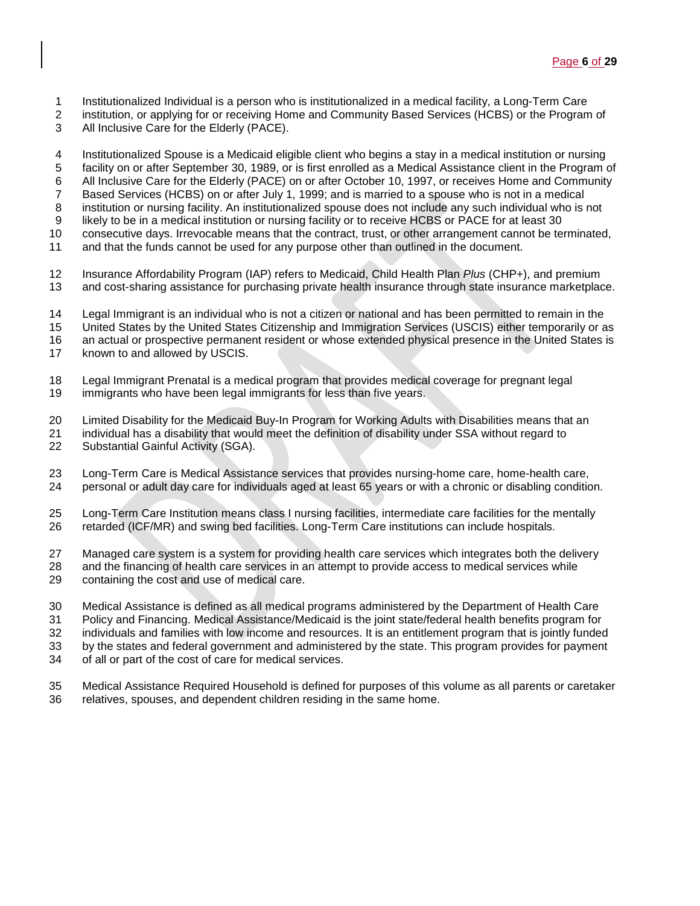- 1 Institutionalized Individual is a person who is institutionalized in a medical facility, a Long-Term Care<br>2 institution, or applying for or receiving Home and Community Based Services (HCBS) or the Program
- institution, or applying for or receiving Home and Community Based Services (HCBS) or the Program of
- All Inclusive Care for the Elderly (PACE).

 Institutionalized Spouse is a Medicaid eligible client who begins a stay in a medical institution or nursing facility on or after September 30, 1989, or is first enrolled as a Medical Assistance client in the Program of 6 All Inclusive Care for the Elderly (PACE) on or after October 10, 1997, or receives Home and Community<br>7 Based Services (HCBS) on or after July 1, 1999; and is married to a spouse who is not in a medical Based Services (HCBS) on or after July 1, 1999; and is married to a spouse who is not in a medical institution or nursing facility. An institutionalized spouse does not include any such individual who is not likely to be in a medical institution or nursing facility or to receive HCBS or PACE for at least 30 consecutive days. Irrevocable means that the contract, trust, or other arrangement cannot be terminated, and that the funds cannot be used for any purpose other than outlined in the document.

- Insurance Affordability Program (IAP) refers to Medicaid, Child Health Plan *Plus* (CHP+), and premium and cost-sharing assistance for purchasing private health insurance through state insurance marketplace.
- Legal Immigrant is an individual who is not a citizen or national and has been permitted to remain in the
- United States by the United States Citizenship and Immigration Services (USCIS) either temporarily or as
- an actual or prospective permanent resident or whose extended physical presence in the United States is
- known to and allowed by USCIS.
- Legal Immigrant Prenatal is a medical program that provides medical coverage for pregnant legal immigrants who have been legal immigrants for less than five years.
- 20 Limited Disability for the Medicaid Buy-In Program for Working Adults with Disabilities means that an 21 individual has a disability that would meet the definition of disability under SSA without regard to
- individual has a disability that would meet the definition of disability under SSA without regard to Substantial Gainful Activity (SGA).
- Long-Term Care is Medical Assistance services that provides nursing-home care, home-health care, personal or adult day care for individuals aged at least 65 years or with a chronic or disabling condition.
- Long-Term Care Institution means class I nursing facilities, intermediate care facilities for the mentally retarded (ICF/MR) and swing bed facilities. Long-Term Care institutions can include hospitals.
- Managed care system is a system for providing health care services which integrates both the delivery and the financing of health care services in an attempt to provide access to medical services while containing the cost and use of medical care.
- Medical Assistance is defined as all medical programs administered by the Department of Health Care Policy and Financing. Medical Assistance/Medicaid is the joint state/federal health benefits program for individuals and families with low income and resources. It is an entitlement program that is jointly funded by the states and federal government and administered by the state. This program provides for payment of all or part of the cost of care for medical services.
- Medical Assistance Required Household is defined for purposes of this volume as all parents or caretaker relatives, spouses, and dependent children residing in the same home.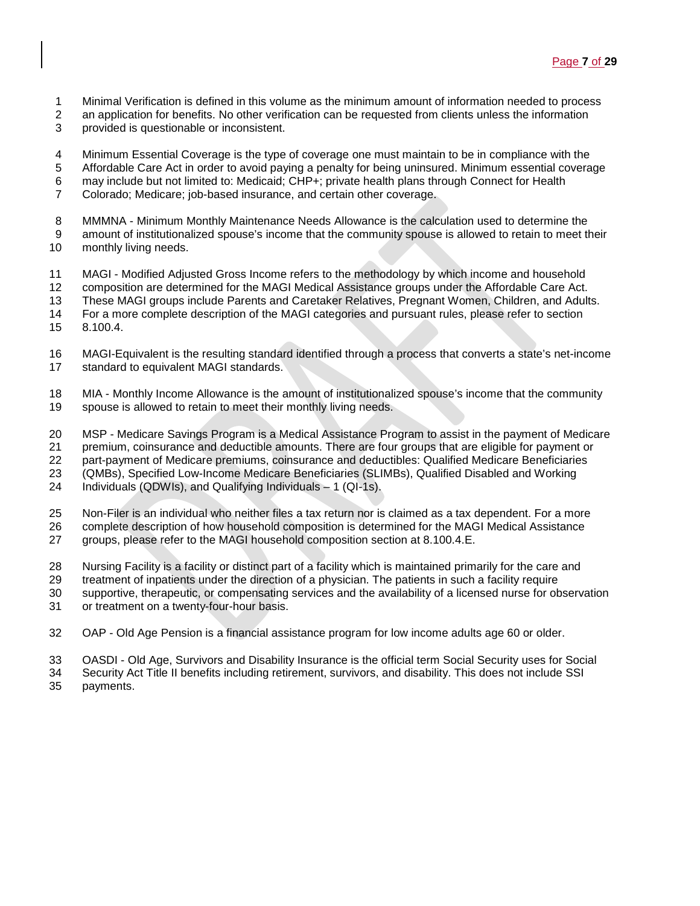- 1 Minimal Verification is defined in this volume as the minimum amount of information needed to process 2 an application for benefits. No other verification can be requested from clients unless the information
- an application for benefits. No other verification can be requested from clients unless the information
- provided is questionable or inconsistent.
- 4 Minimum Essential Coverage is the type of coverage one must maintain to be in compliance with the<br>5 Affordable Care Act in order to avoid paying a penalty for being uninsured. Minimum essential covera
- Affordable Care Act in order to avoid paying a penalty for being uninsured. Minimum essential coverage
- 6 may include but not limited to: Medicaid; CHP+; private health plans through Connect for Health <br>7 Colorado: Medicare: job-based insurance, and certain other coverage.
- Colorado; Medicare; job-based insurance, and certain other coverage.
- MMMNA Minimum Monthly Maintenance Needs Allowance is the calculation used to determine the
- amount of institutionalized spouse's income that the community spouse is allowed to retain to meet their
- monthly living needs.
- MAGI Modified Adjusted Gross Income refers to the methodology by which income and household
- 12 composition are determined for the MAGI Medical Assistance groups under the Affordable Care Act.<br>13 These MAGI groups include Parents and Caretaker Relatives, Pregnant Women, Children, and Adult
- These MAGI groups include Parents and Caretaker Relatives, Pregnant Women, Children, and Adults.
- For a more complete description of the MAGI categories and pursuant rules, please refer to section
- 8.100.4.
- MAGI-Equivalent is the resulting standard identified through a process that converts a state's net-income
- standard to equivalent MAGI standards.
- MIA Monthly Income Allowance is the amount of institutionalized spouse's income that the community spouse is allowed to retain to meet their monthly living needs.
- MSP Medicare Savings Program is a Medical Assistance Program to assist in the payment of Medicare
- premium, coinsurance and deductible amounts. There are four groups that are eligible for payment or
- part-payment of Medicare premiums, coinsurance and deductibles: Qualified Medicare Beneficiaries
- (QMBs), Specified Low-Income Medicare Beneficiaries (SLIMBs), Qualified Disabled and Working
- Individuals (QDWIs), and Qualifying Individuals 1 (QI-1s).
- Non-Filer is an individual who neither files a tax return nor is claimed as a tax dependent. For a more
- complete description of how household composition is determined for the MAGI Medical Assistance
- groups, please refer to the MAGI household composition section at 8.100.4.E.
- Nursing Facility is a facility or distinct part of a facility which is maintained primarily for the care and
- treatment of inpatients under the direction of a physician. The patients in such a facility require
- supportive, therapeutic, or compensating services and the availability of a licensed nurse for observation or treatment on a twenty-four-hour basis.
- OAP Old Age Pension is a financial assistance program for low income adults age 60 or older.
- OASDI Old Age, Survivors and Disability Insurance is the official term Social Security uses for Social
- Security Act Title II benefits including retirement, survivors, and disability. This does not include SSI
- payments.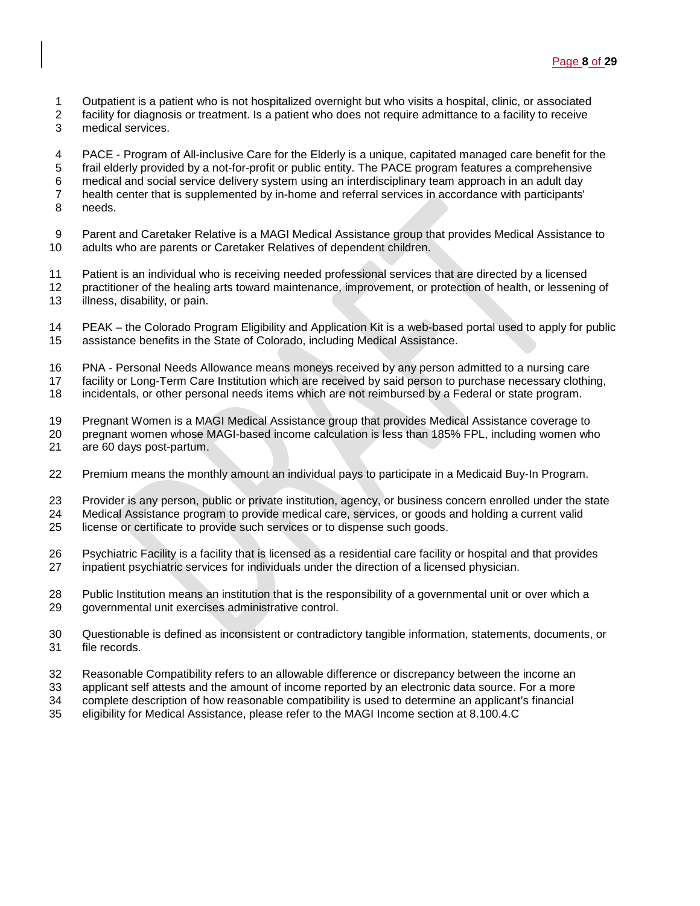- 1 Outpatient is a patient who is not hospitalized overnight but who visits a hospital, clinic, or associated 1<br>2 facility for diagnosis or treatment. Is a patient who does not require admittance to a facility to receive
- facility for diagnosis or treatment. Is a patient who does not require admittance to a facility to receive
- medical services.
- 
- 4 PACE Program of All-inclusive Care for the Elderly is a unique, capitated managed care benefit for the <br>5 frail elderly provided by a not-for-profit or public entity. The PACE program features a comprehensive frail elderly provided by a not-for-profit or public entity. The PACE program features a comprehensive
- medical and social service delivery system using an interdisciplinary team approach in an adult day
- 7 health center that is supplemented by in-home and referral services in accordance with participants'<br>8 needs.
- needs.
- Parent and Caretaker Relative is a MAGI Medical Assistance group that provides Medical Assistance to adults who are parents or Caretaker Relatives of dependent children.
- Patient is an individual who is receiving needed professional services that are directed by a licensed
- 12 practitioner of the healing arts toward maintenance, improvement, or protection of health, or lessening of i<br>13 illness, disability, or pain. illness, disability, or pain.
- PEAK the Colorado Program Eligibility and Application Kit is a web-based portal used to apply for public assistance benefits in the State of Colorado, including Medical Assistance.
- PNA Personal Needs Allowance means moneys received by any person admitted to a nursing care
- facility or Long-Term Care Institution which are received by said person to purchase necessary clothing,
- incidentals, or other personal needs items which are not reimbursed by a Federal or state program.
- 
- 19 Pregnant Women is a MAGI Medical Assistance group that provides Medical Assistance coverage to<br>20 pregnant women whose MAGI-based income calculation is less than 185% FPL, including women wh pregnant women whose MAGI-based income calculation is less than 185% FPL, including women who are 60 days post-partum.
- Premium means the monthly amount an individual pays to participate in a Medicaid Buy-In Program.
- Provider is any person, public or private institution, agency, or business concern enrolled under the state
- Medical Assistance program to provide medical care, services, or goods and holding a current valid
- license or certificate to provide such services or to dispense such goods.
- Psychiatric Facility is a facility that is licensed as a residential care facility or hospital and that provides inpatient psychiatric services for individuals under the direction of a licensed physician.
- Public Institution means an institution that is the responsibility of a governmental unit or over which a governmental unit exercises administrative control.
- Questionable is defined as inconsistent or contradictory tangible information, statements, documents, or file records.
- Reasonable Compatibility refers to an allowable difference or discrepancy between the income an
- applicant self attests and the amount of income reported by an electronic data source. For a more
- 34 complete description of how reasonable compatibility is used to determine an applicant's financial<br>35 eligibility for Medical Assistance, please refer to the MAGI Income section at 8.100.4.C
- eligibility for Medical Assistance, please refer to the MAGI Income section at 8.100.4.C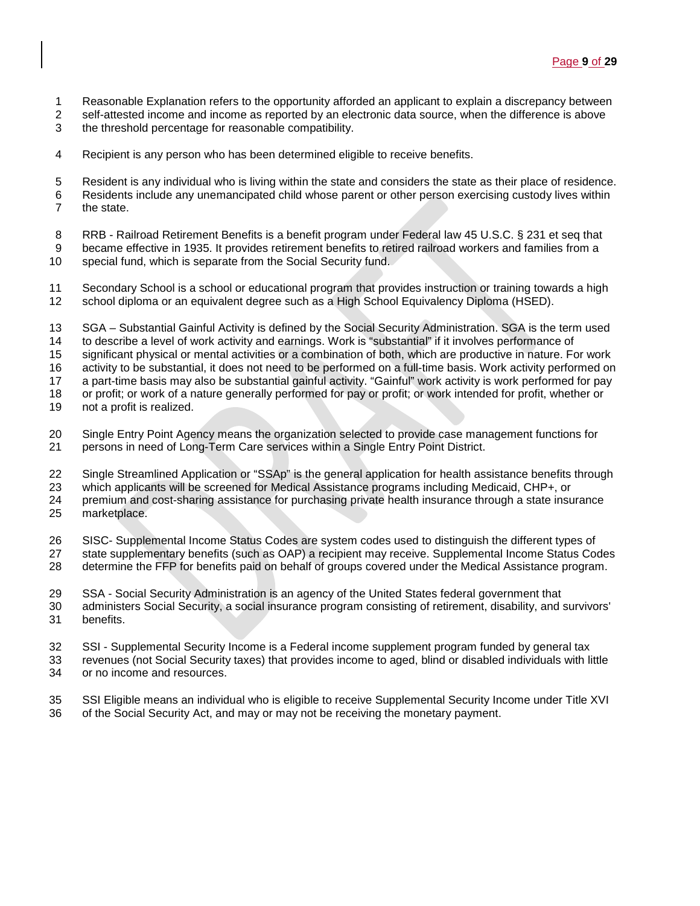- 
- 1 Reasonable Explanation refers to the opportunity afforded an applicant to explain a discrepancy between<br>2 self-attested income and income as reported by an electronic data source, when the difference is above self-attested income and income as reported by an electronic data source, when the difference is above
- the threshold percentage for reasonable compatibility.
- Recipient is any person who has been determined eligible to receive benefits.
- Resident is any individual who is living within the state and considers the state as their place of residence. Residents include any unemancipated child whose parent or other person exercising custody lives within the state.
- 8 RRB Railroad Retirement Benefits is a benefit program under Federal law 45 U.S.C. § 231 et seg that became effective in 1935. It provides retirement benefits to retired railroad workers and families from a
- 10 special fund, which is separate from the Social Security fund.
- Secondary School is a school or educational program that provides instruction or training towards a high school diploma or an equivalent degree such as a High School Equivalency Diploma (HSED).
- SGA Substantial Gainful Activity is defined by the Social Security Administration. SGA is the term used to describe a level of work activity and earnings. Work is "substantial" if it involves performance of
- significant physical or mental activities or a combination of both, which are productive in nature. For work
- activity to be substantial, it does not need to be performed on a full-time basis. Work activity performed on
- a part-time basis may also be substantial gainful activity. "Gainful" work activity is work performed for pay
- or profit; or work of a nature generally performed for pay or profit; or work intended for profit, whether or
- not a profit is realized.
- Single Entry Point Agency means the organization selected to provide case management functions for persons in need of Long-Term Care services within a Single Entry Point District.
- Single Streamlined Application or "SSAp" is the general application for health assistance benefits through
- which applicants will be screened for Medical Assistance programs including Medicaid, CHP+, or
- premium and cost-sharing assistance for purchasing private health insurance through a state insurance marketplace.
- SISC- Supplemental Income Status Codes are system codes used to distinguish the different types of
- state supplementary benefits (such as OAP) a recipient may receive. Supplemental Income Status Codes
- determine the FFP for benefits paid on behalf of groups covered under the Medical Assistance program.
- SSA Social Security Administration is an agency of the United States federal government that
- administers Social Security, a social insurance program consisting of retirement, disability, and survivors' benefits.
- SSI Supplemental Security Income is a Federal income supplement program funded by general tax
- revenues (not Social Security taxes) that provides income to aged, blind or disabled individuals with little or no income and resources.
- SSI Eligible means an individual who is eligible to receive Supplemental Security Income under Title XVI
- of the Social Security Act, and may or may not be receiving the monetary payment.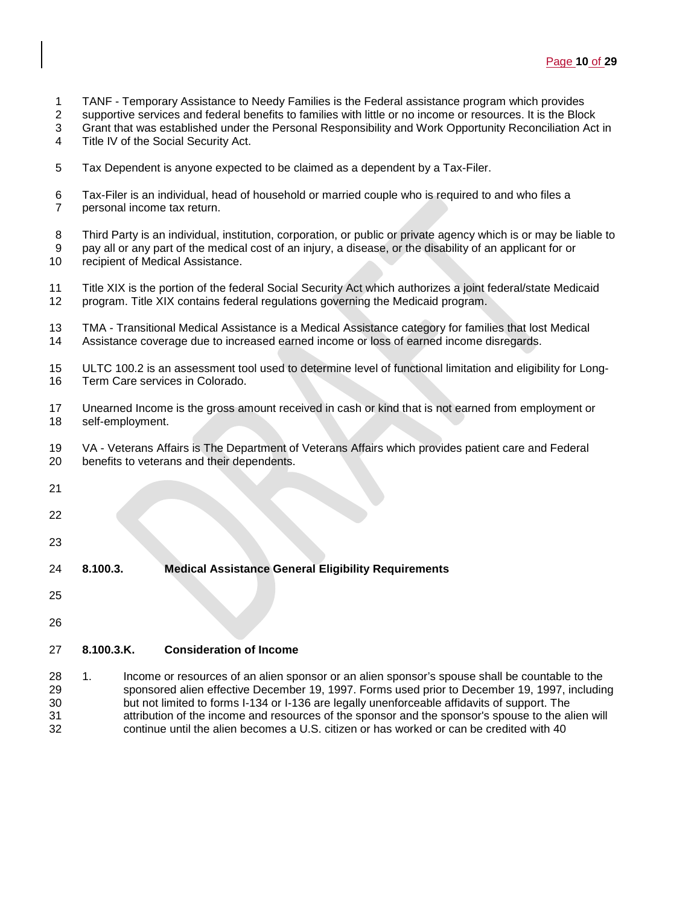- TANF Temporary Assistance to Needy Families is the Federal assistance program which provides
- supportive services and federal benefits to families with little or no income or resources. It is the Block
- Grant that was established under the Personal Responsibility and Work Opportunity Reconciliation Act in
- Title IV of the Social Security Act.
- Tax Dependent is anyone expected to be claimed as a dependent by a Tax-Filer.
- Tax-Filer is an individual, head of household or married couple who is required to and who files a personal income tax return.
- Third Party is an individual, institution, corporation, or public or private agency which is or may be liable to pay all or any part of the medical cost of an injury, a disease, or the disability of an applicant for or recipient of Medical Assistance.
- Title XIX is the portion of the federal Social Security Act which authorizes a joint federal/state Medicaid program. Title XIX contains federal regulations governing the Medicaid program.
- TMA Transitional Medical Assistance is a Medical Assistance category for families that lost Medical Assistance coverage due to increased earned income or loss of earned income disregards.
- ULTC 100.2 is an assessment tool used to determine level of functional limitation and eligibility for Long-Term Care services in Colorado.
- Unearned Income is the gross amount received in cash or kind that is not earned from employment or self-employment.
- VA Veterans Affairs is The Department of Veterans Affairs which provides patient care and Federal benefits to veterans and their dependents.
- 
- 
- 
- 
- **8.100.3. Medical Assistance General Eligibility Requirements**
- 
- 

# **8.100.3.K. Consideration of Income**

 1. Income or resources of an alien sponsor or an alien sponsor's spouse shall be countable to the sponsored alien effective December 19, 1997. Forms used prior to December 19, 1997, including but not limited to forms I-134 or I-136 are legally unenforceable affidavits of support. The 31 31 attribution of the income and resources of the sponsor and the sponsor's spouse to the alien will<br>32 continue until the alien becomes a U.S. citizen or has worked or can be credited with 40 continue until the alien becomes a U.S. citizen or has worked or can be credited with 40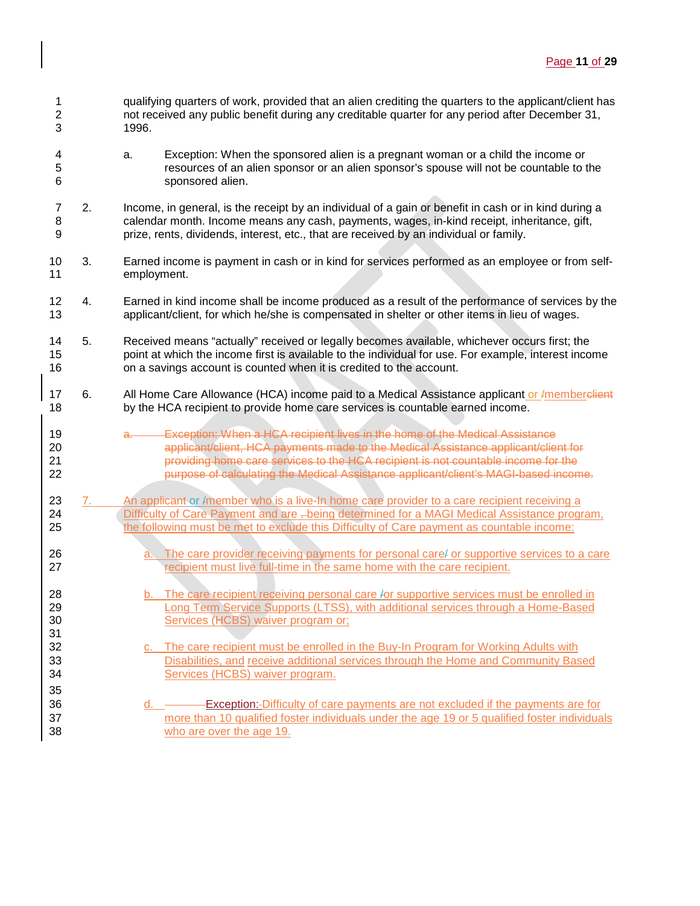- 1 qualifying quarters of work, provided that an alien crediting the quarters to the applicant/client has<br>2 hot received any public benefit during any creditable quarter for any period after December 31. not received any public benefit during any creditable quarter for any period after December 31, 1996.
- 4 a. Exception: When the sponsored alien is a pregnant woman or a child the income or<br>5 second the sponsor or an alien sponsor's spouse will not be countable to the sponsor's spouse will not be countable to t resources of an alien sponsor or an alien sponsor's spouse will not be countable to the sponsored alien.
- 7 2. Income, in general, is the receipt by an individual of a gain or benefit in cash or in kind during a<br>8 calendar month. Income means any cash, payments, wages, in-kind receipt, inheritance, gift, calendar month. Income means any cash, payments, wages, in-kind receipt, inheritance, gift, prize, rents, dividends, interest, etc., that are received by an individual or family.
- 3. Earned income is payment in cash or in kind for services performed as an employee or from self-employment.
- 12 4. Earned in kind income shall be income produced as a result of the performance of services by the applicant/client. for which he/she is compensated in shelter or other items in lieu of wages. applicant/client, for which he/she is compensated in shelter or other items in lieu of wages.
- 5. Received means "actually" received or legally becomes available, whichever occurs first; the point at which the income first is available to the individual for use. For example, interest income on a savings account is counted when it is credited to the account.
- 17 6. All Home Care Allowance (HCA) income paid to a Medical Assistance applicant or *I*memberclient by the HCA recipient to provide home care services is countable earned income.
- 19 a. Exception: When a HCA recipient lives in the home of the Medical Assistance<br>20 applicant/client. HCA payments made to the Medical Assistance applicant/clien applicant/client, HCA payments made to the Medical Assistance applicant/client for providing home care services to the HCA recipient is not countable income for the purpose of calculating the Medical Assistance applicant/client's MAGI-based income.

#### 23 7. An applicant or /member who is a live-In home care provider to a care recipient receiving a 24 Difficulty of Care Payment and are -being determined for a MAGI Medical Assistance program, the following must be met to exclude this Difficulty of Care payment as countable income:

- **a.** The care provider receiving payments for personal care/ or supportive services to a care **recipient must live full-time in the same home with the care recipient.**
- 28 b. The care recipient receiving personal care /or supportive services must be enrolled in 29 Long Term Service Supports (LTSS), with additional services through a Home-Based Services (HCBS) waiver program or;
- c. The care recipient must be enrolled in the Buy-In Program for Working Adults with Disabilities, and receive additional services through the Home and Community Based Services (HCBS) waiver program.
- 36 d. <u>Communist Communist Communist Communist Communist Communist Communist Communist Communist Communist Communist Communist Communist Communist Communist Communist Communist Communist Communist Communist Communist Commu</u> more than 10 qualified foster individuals under the age 19 or 5 qualified foster individuals who are over the age 19.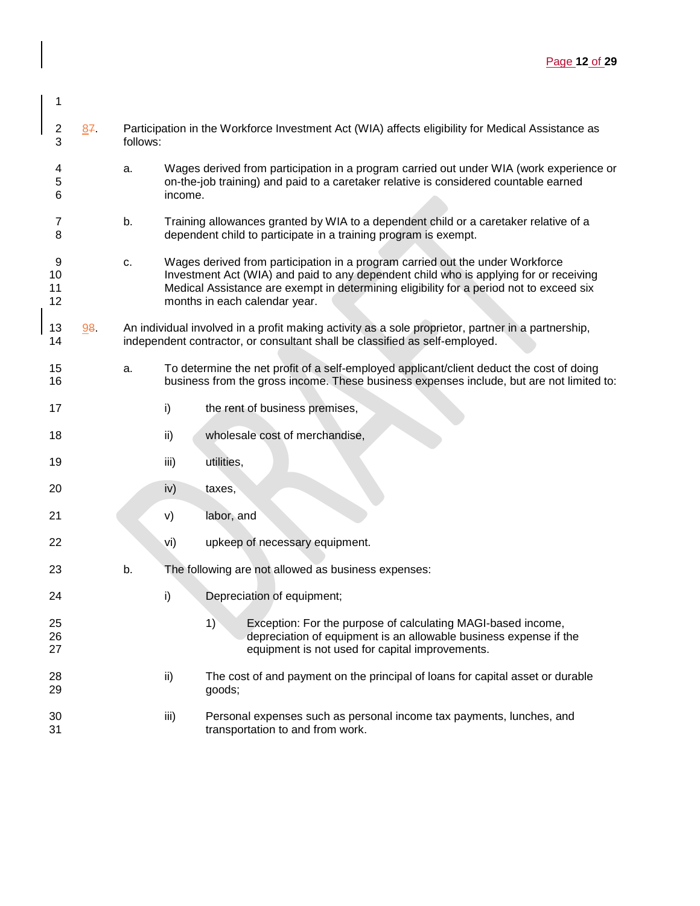| 2 87 | Participation in the Workforce Investment Act (WIA) affects eligibility for Medical Assistance as<br>follows: |
|------|---------------------------------------------------------------------------------------------------------------|
|      |                                                                                                               |

- 4 a. Wages derived from participation in a program carried out under WIA (work experience or<br>5 b con-the-job training) and paid to a caretaker relative is considered countable earned 5 on-the-job training) and paid to a caretaker relative is considered countable earned income.
- 7 b. Training allowances granted by WIA to a dependent child or a caretaker relative of a 8 dependent child to participate in a training program is exempt.
- 9 c. Wages derived from participation in a program carried out the under Workforce 10 Investment Act (WIA) and paid to any dependent child who is applying for or receiving 11 Medical Assistance are exempt in determining eligibility for a period not to exceed six 12 months in each calendar year.
- 13 98. An individual involved in a profit making activity as a sole proprietor, partner in a partnership, 14 independent contractor, or consultant shall be classified as self-employed.
- 15 a. To determine the net profit of a self-employed applicant/client deduct the cost of doing 16 business from the gross income. These business expenses include, but are not limited to:
- 17 i) the rent of business premises,
- 18 **ii**) wholesale cost of merchandise,
- 19 iii) utilities,

1

- 20 iv) taxes,
- 21 v) labor, and
- 22 vi) upkeep of necessary equipment.
- 23 b. The following are not allowed as business expenses:
- 24 i) Depreciation of equipment;
- 25 1) Exception: For the purpose of calculating MAGI-based income,<br>26 depreciation of equipment is an allowable business expense if t depreciation of equipment is an allowable business expense if the 27 equipment is not used for capital improvements.
- 28 ii) The cost of and payment on the principal of loans for capital asset or durable<br>29 **inclusted and the conditional** and asset of durable goods;
- 30 **iii)** Personal expenses such as personal income tax payments, lunches, and 31 transportation to and from work.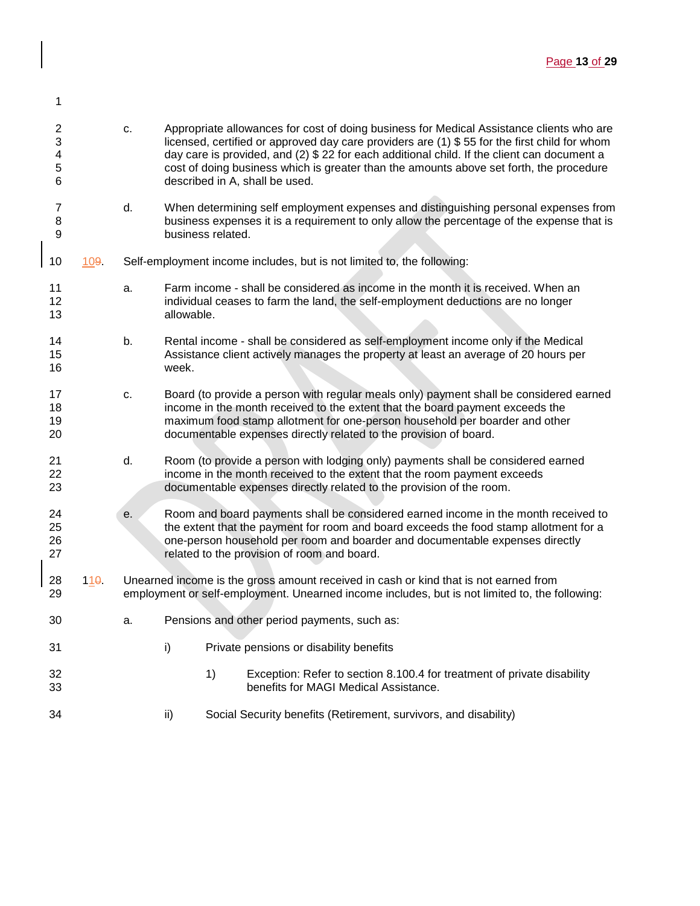| 1                                    |      |    |            |                   |                                                                                                                                                                                                                                                                                                                                                                                                                      |
|--------------------------------------|------|----|------------|-------------------|----------------------------------------------------------------------------------------------------------------------------------------------------------------------------------------------------------------------------------------------------------------------------------------------------------------------------------------------------------------------------------------------------------------------|
| $\boldsymbol{2}$<br>3<br>4<br>5<br>6 |      | c. |            |                   | Appropriate allowances for cost of doing business for Medical Assistance clients who are<br>licensed, certified or approved day care providers are (1) \$55 for the first child for whom<br>day care is provided, and (2) \$ 22 for each additional child. If the client can document a<br>cost of doing business which is greater than the amounts above set forth, the procedure<br>described in A, shall be used. |
| $\overline{7}$<br>8<br>9             |      | d. |            | business related. | When determining self employment expenses and distinguishing personal expenses from<br>business expenses it is a requirement to only allow the percentage of the expense that is                                                                                                                                                                                                                                     |
| 10                                   | 109. |    |            |                   | Self-employment income includes, but is not limited to, the following:                                                                                                                                                                                                                                                                                                                                               |
| 11<br>12<br>13                       |      | a. | allowable. |                   | Farm income - shall be considered as income in the month it is received. When an<br>individual ceases to farm the land, the self-employment deductions are no longer                                                                                                                                                                                                                                                 |
| 14<br>15<br>16                       |      | b. | week.      |                   | Rental income - shall be considered as self-employment income only if the Medical<br>Assistance client actively manages the property at least an average of 20 hours per                                                                                                                                                                                                                                             |
| 17<br>18<br>19<br>20                 |      | c. |            |                   | Board (to provide a person with regular meals only) payment shall be considered earned<br>income in the month received to the extent that the board payment exceeds the<br>maximum food stamp allotment for one-person household per boarder and other<br>documentable expenses directly related to the provision of board.                                                                                          |
| 21<br>22<br>23                       |      | d. |            |                   | Room (to provide a person with lodging only) payments shall be considered earned<br>income in the month received to the extent that the room payment exceeds<br>documentable expenses directly related to the provision of the room.                                                                                                                                                                                 |
| 24<br>25<br>26<br>27                 |      | е. |            |                   | Room and board payments shall be considered earned income in the month received to<br>the extent that the payment for room and board exceeds the food stamp allotment for a<br>one-person household per room and boarder and documentable expenses directly<br>related to the provision of room and board.                                                                                                           |
| 28<br>29                             | 110  |    |            |                   | Unearned income is the gross amount received in cash or kind that is not earned from<br>employment or self-employment. Unearned income includes, but is not limited to, the following:                                                                                                                                                                                                                               |
| 30                                   |      | a. |            |                   | Pensions and other period payments, such as:                                                                                                                                                                                                                                                                                                                                                                         |
| 31                                   |      |    | i)         |                   | Private pensions or disability benefits                                                                                                                                                                                                                                                                                                                                                                              |
| 32<br>33                             |      |    |            | 1)                | Exception: Refer to section 8.100.4 for treatment of private disability<br>benefits for MAGI Medical Assistance.                                                                                                                                                                                                                                                                                                     |
| 34                                   |      |    | ii)        |                   | Social Security benefits (Retirement, survivors, and disability)                                                                                                                                                                                                                                                                                                                                                     |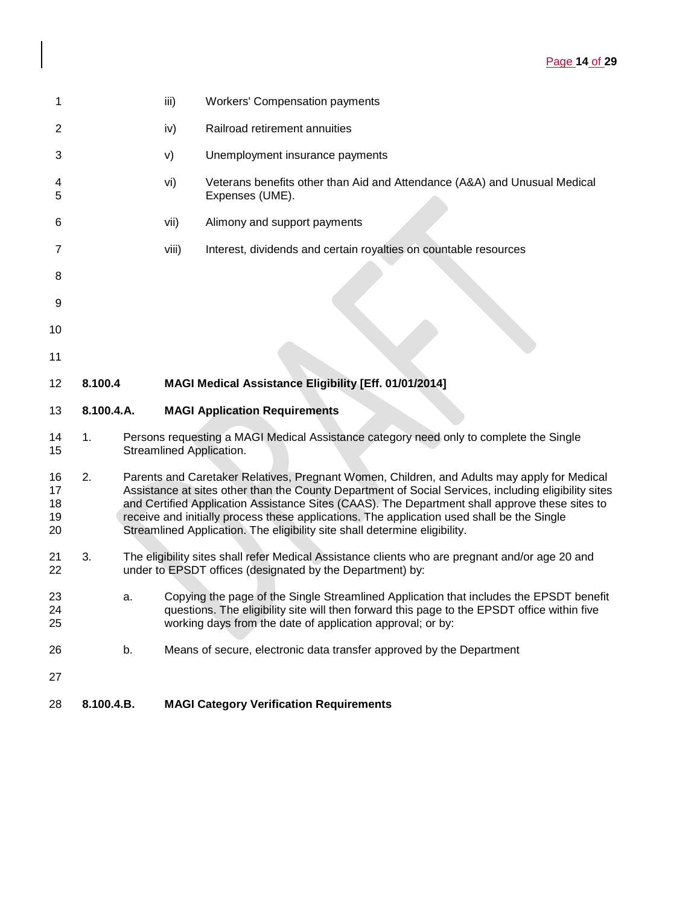| 1                          |            |    | iii)  | <b>Workers' Compensation payments</b>                                                                                                                                                                                                                                                                                                                                                                                                                                             |
|----------------------------|------------|----|-------|-----------------------------------------------------------------------------------------------------------------------------------------------------------------------------------------------------------------------------------------------------------------------------------------------------------------------------------------------------------------------------------------------------------------------------------------------------------------------------------|
| 2                          |            |    | iv)   | Railroad retirement annuities                                                                                                                                                                                                                                                                                                                                                                                                                                                     |
| 3                          |            |    | V)    | Unemployment insurance payments                                                                                                                                                                                                                                                                                                                                                                                                                                                   |
| 4<br>5                     |            |    | vi)   | Veterans benefits other than Aid and Attendance (A&A) and Unusual Medical<br>Expenses (UME).                                                                                                                                                                                                                                                                                                                                                                                      |
| 6                          |            |    | vii)  | Alimony and support payments                                                                                                                                                                                                                                                                                                                                                                                                                                                      |
| 7                          |            |    | viii) | Interest, dividends and certain royalties on countable resources                                                                                                                                                                                                                                                                                                                                                                                                                  |
| 8                          |            |    |       |                                                                                                                                                                                                                                                                                                                                                                                                                                                                                   |
| 9                          |            |    |       |                                                                                                                                                                                                                                                                                                                                                                                                                                                                                   |
| 10                         |            |    |       |                                                                                                                                                                                                                                                                                                                                                                                                                                                                                   |
| 11                         |            |    |       |                                                                                                                                                                                                                                                                                                                                                                                                                                                                                   |
| 12                         | 8.100.4    |    |       | MAGI Medical Assistance Eligibility [Eff. 01/01/2014]                                                                                                                                                                                                                                                                                                                                                                                                                             |
| 13                         | 8.100.4.A. |    |       | <b>MAGI Application Requirements</b>                                                                                                                                                                                                                                                                                                                                                                                                                                              |
| 14<br>15                   | 1.         |    |       | Persons requesting a MAGI Medical Assistance category need only to complete the Single<br>Streamlined Application.                                                                                                                                                                                                                                                                                                                                                                |
| 16<br>17<br>18<br>19<br>20 | 2.         |    |       | Parents and Caretaker Relatives, Pregnant Women, Children, and Adults may apply for Medical<br>Assistance at sites other than the County Department of Social Services, including eligibility sites<br>and Certified Application Assistance Sites (CAAS). The Department shall approve these sites to<br>receive and initially process these applications. The application used shall be the Single<br>Streamlined Application. The eligibility site shall determine eligibility. |
| 21<br>22                   | 3.         |    |       | The eligibility sites shall refer Medical Assistance clients who are pregnant and/or age 20 and<br>under to EPSDT offices (designated by the Department) by:                                                                                                                                                                                                                                                                                                                      |
| 23<br>24<br>25             |            | a. |       | Copying the page of the Single Streamlined Application that includes the EPSDT benefit<br>questions. The eligibility site will then forward this page to the EPSDT office within five<br>working days from the date of application approval; or by:                                                                                                                                                                                                                               |
| 26                         |            | b. |       | Means of secure, electronic data transfer approved by the Department                                                                                                                                                                                                                                                                                                                                                                                                              |
| 27                         |            |    |       |                                                                                                                                                                                                                                                                                                                                                                                                                                                                                   |
| 28                         | 8.100.4.B. |    |       | <b>MAGI Category Verification Requirements</b>                                                                                                                                                                                                                                                                                                                                                                                                                                    |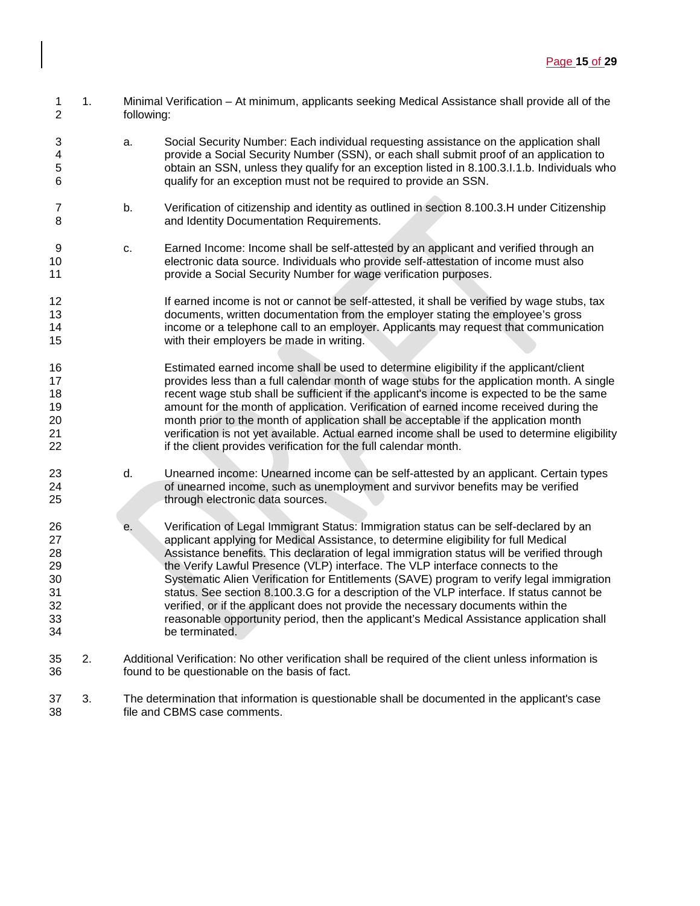- 1. Minimal Verification At minimum, applicants seeking Medical Assistance shall provide all of the following:
- a. Social Security Number: Each individual requesting assistance on the application shall 4 provide a Social Security Number (SSN), or each shall submit proof of an application to<br>5 by obtain an SSN, unless they qualify for an exception listed in 8.100.3.1.1.b. Individuals wh obtain an SSN, unless they qualify for an exception listed in 8.100.3.I.1.b. Individuals who qualify for an exception must not be required to provide an SSN.
- 7 b. Verification of citizenship and identity as outlined in section 8.100.3.H under Citizenship<br>8 and Identity Documentation Requirements. and Identity Documentation Requirements.
- c. Earned Income: Income shall be self-attested by an applicant and verified through an electronic data source. Individuals who provide self-attestation of income must also provide a Social Security Number for wage verification purposes.
- 12 If earned income is not or cannot be self-attested, it shall be verified by wage stubs, tax<br>13 documents, written documentation from the emplover stating the emplovee's gross 13 documents, written documentation from the employer stating the employee's gross<br>14 femployer call to an employer. Applicants may request that communica income or a telephone call to an employer. Applicants may request that communication with their employers be made in writing.
- Estimated earned income shall be used to determine eligibility if the applicant/client **provides less than a full calendar month of wage stubs for the application month.** A single recent wage stub shall be sufficient if the applicant's income is expected to be the same amount for the month of application. Verification of earned income received during the month prior to the month of application shall be acceptable if the application month verification is not yet available. Actual earned income shall be used to determine eligibility 22 if the client provides verification for the full calendar month.
- d. Unearned income: Unearned income can be self-attested by an applicant. Certain types of unearned income, such as unemployment and survivor benefits may be verified 25 through electronic data sources.
- e. Verification of Legal Immigrant Status: Immigration status can be self-declared by an **applicant applying for Medical Assistance**, to determine eligibility for full Medical Assistance benefits. This declaration of legal immigration status will be verified through 29 the Verify Lawful Presence (VLP) interface. The VLP interface connects to the Systematic Alien Verification for Entitlements (SAVE) program to verify legal immigration 31 status. See section 8.100.3.G for a description of the VLP interface. If status cannot be<br>32 secrified, or if the applicant does not provide the necessary documents within the verified, or if the applicant does not provide the necessary documents within the 33 **reasonable opportunity period, then the applicant's Medical Assistance application shall**<br>34 **be terminated** be terminated.
- 2. Additional Verification: No other verification shall be required of the client unless information is found to be questionable on the basis of fact.
- 3. The determination that information is questionable shall be documented in the applicant's case file and CBMS case comments.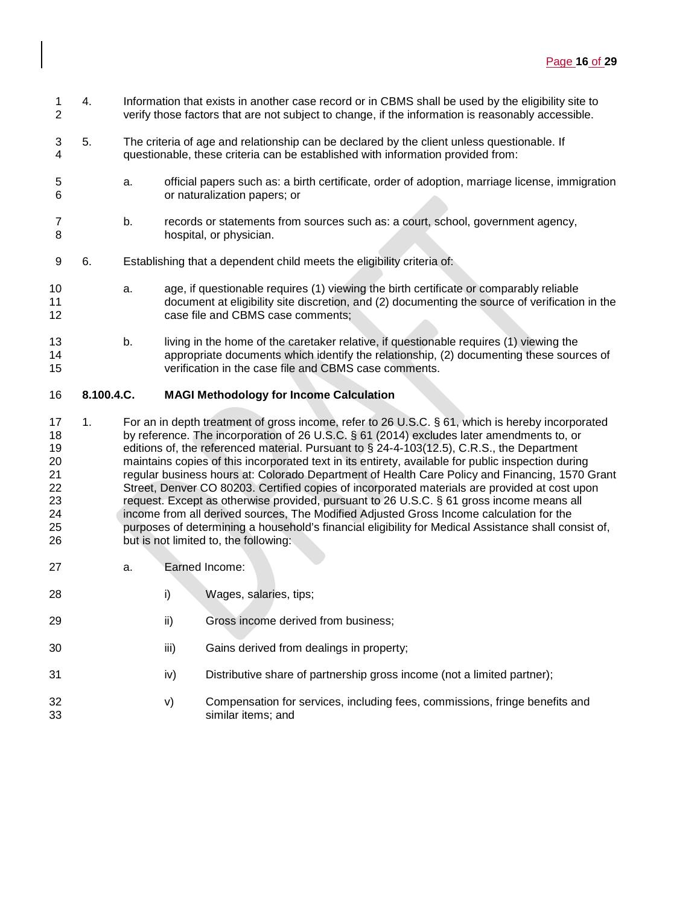- 1 4. Information that exists in another case record or in CBMS shall be used by the eligibility site to<br>2 verify those factors that are not subject to change, if the information is reasonably accessible. verify those factors that are not subject to change, if the information is reasonably accessible.
- 5. The criteria of age and relationship can be declared by the client unless questionable. If questionable, these criteria can be established with information provided from:
- a. official papers such as: a birth certificate, order of adoption, marriage license, immigration or naturalization papers; or
- b. records or statements from sources such as: a court, school, government agency, hospital, or physician.
- 6. Establishing that a dependent child meets the eligibility criteria of:
- a. age, if questionable requires (1) viewing the birth certificate or comparably reliable document at eligibility site discretion, and (2) documenting the source of verification in the case file and CBMS case comments;
- b. living in the home of the caretaker relative, if questionable requires (1) viewing the appropriate documents which identify the relationship, (2) documenting these sources of verification in the case file and CBMS case comments.

## **8.100.4.C. MAGI Methodology for Income Calculation**

- 1. For an in depth treatment of gross income, refer to 26 U.S.C. § 61, which is hereby incorporated 18 by reference. The incorporation of 26 U.S.C. § 61 (2014) excludes later amendments to, or<br>19 feditions of, the referenced material. Pursuant to § 24-4-103(12.5), C.R.S., the Department editions of, the referenced material. Pursuant to § 24-4-103(12.5), C.R.S., the Department maintains copies of this incorporated text in its entirety, available for public inspection during regular business hours at: Colorado Department of Health Care Policy and Financing, 1570 Grant Street, Denver CO 80203. Certified copies of incorporated materials are provided at cost upon request. Except as otherwise provided, pursuant to 26 U.S.C. § 61 gross income means all income from all derived sources, The Modified Adjusted Gross Income calculation for the 25 purposes of determining a household's financial eligibility for Medical Assistance shall consist of,<br>26 but is not limited to, the following: but is not limited to, the following:
- a. Earned Income:
- i) Wages, salaries, tips;
- **iii** Gross income derived from business;
- **iii**) Gains derived from dealings in property;
- 31 iv) Distributive share of partnership gross income (not a limited partner);
- v) Compensation for services, including fees, commissions, fringe benefits and similar items; and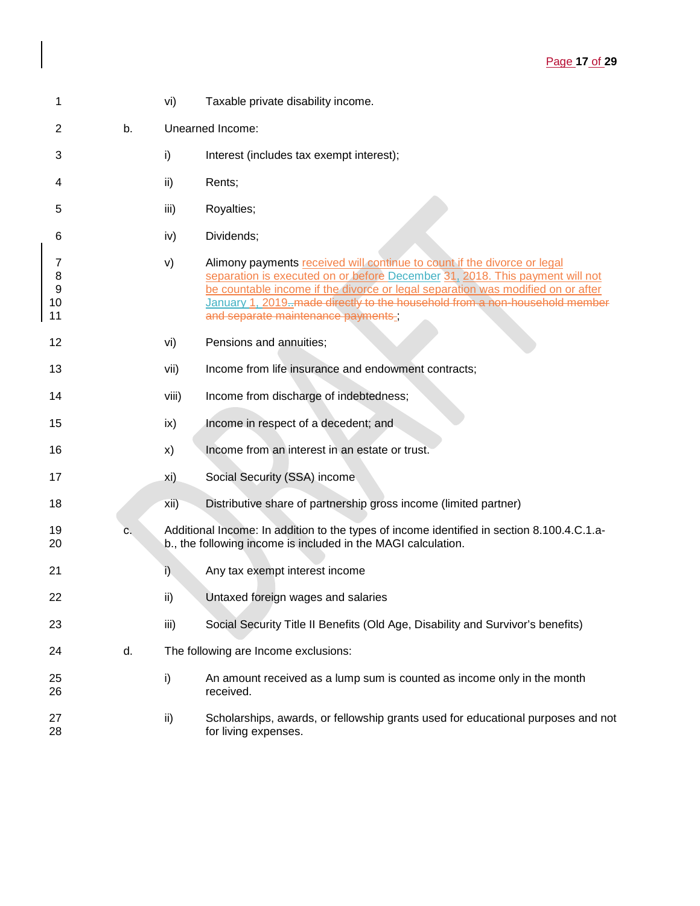| 1                                      |    | vi)   | Taxable private disability income.                                                                                                                                                                                                                                                                                                                               |
|----------------------------------------|----|-------|------------------------------------------------------------------------------------------------------------------------------------------------------------------------------------------------------------------------------------------------------------------------------------------------------------------------------------------------------------------|
| 2                                      | b. |       | Unearned Income:                                                                                                                                                                                                                                                                                                                                                 |
| 3                                      |    | i)    | Interest (includes tax exempt interest);                                                                                                                                                                                                                                                                                                                         |
| 4                                      |    | ii)   | Rents;                                                                                                                                                                                                                                                                                                                                                           |
| 5                                      |    | iii)  | Royalties;                                                                                                                                                                                                                                                                                                                                                       |
| 6                                      |    | iv)   | Dividends;                                                                                                                                                                                                                                                                                                                                                       |
| 7<br>8<br>$\boldsymbol{9}$<br>10<br>11 |    | V)    | Alimony payments received will continue to count if the divorce or legal<br>separation is executed on or before December 31, 2018. This payment will not<br>be countable income if the divorce or legal separation was modified on or after<br>January 1, 2019. made directly to the household from a non-household member<br>and separate maintenance payments, |
| 12                                     |    | vi)   | Pensions and annuities;                                                                                                                                                                                                                                                                                                                                          |
| 13                                     |    | vii)  | Income from life insurance and endowment contracts;                                                                                                                                                                                                                                                                                                              |
| 14                                     |    | viii) | Income from discharge of indebtedness;                                                                                                                                                                                                                                                                                                                           |
| 15                                     |    | ix)   | Income in respect of a decedent; and                                                                                                                                                                                                                                                                                                                             |
| 16                                     |    | x)    | Income from an interest in an estate or trust.                                                                                                                                                                                                                                                                                                                   |
| 17                                     |    | xi)   | Social Security (SSA) income                                                                                                                                                                                                                                                                                                                                     |
| 18                                     |    | xii)  | Distributive share of partnership gross income (limited partner)                                                                                                                                                                                                                                                                                                 |
| 19<br>20                               | с. |       | Additional Income: In addition to the types of income identified in section 8.100.4.C.1.a-<br>b., the following income is included in the MAGI calculation.                                                                                                                                                                                                      |
| 21                                     |    | i)    | Any tax exempt interest income                                                                                                                                                                                                                                                                                                                                   |
| 22                                     |    | ii)   | Untaxed foreign wages and salaries                                                                                                                                                                                                                                                                                                                               |
| 23                                     |    | iii)  | Social Security Title II Benefits (Old Age, Disability and Survivor's benefits)                                                                                                                                                                                                                                                                                  |
| 24                                     | d. |       | The following are Income exclusions:                                                                                                                                                                                                                                                                                                                             |
| 25<br>26                               |    | i)    | An amount received as a lump sum is counted as income only in the month<br>received.                                                                                                                                                                                                                                                                             |
| 27<br>28                               |    | ii)   | Scholarships, awards, or fellowship grants used for educational purposes and not<br>for living expenses.                                                                                                                                                                                                                                                         |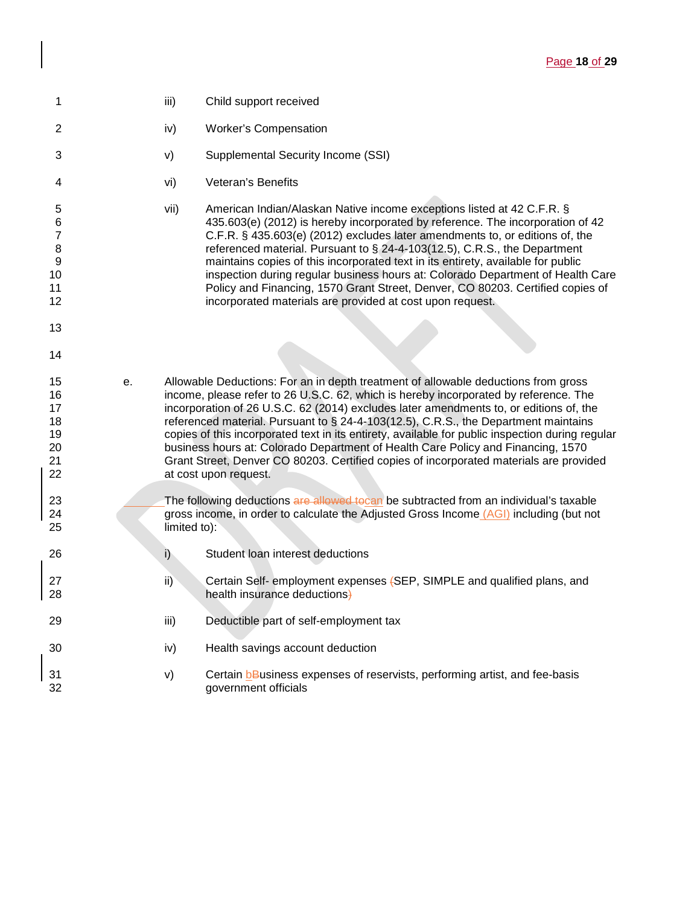| 1                                                      |    | iii)         | Child support received                                                                                                                                                                                                                                                                                                                                                                                                                                                                                                                                                                                                                                                 |
|--------------------------------------------------------|----|--------------|------------------------------------------------------------------------------------------------------------------------------------------------------------------------------------------------------------------------------------------------------------------------------------------------------------------------------------------------------------------------------------------------------------------------------------------------------------------------------------------------------------------------------------------------------------------------------------------------------------------------------------------------------------------------|
| $\overline{c}$                                         |    | iv)          | <b>Worker's Compensation</b>                                                                                                                                                                                                                                                                                                                                                                                                                                                                                                                                                                                                                                           |
| 3                                                      |    | V)           | Supplemental Security Income (SSI)                                                                                                                                                                                                                                                                                                                                                                                                                                                                                                                                                                                                                                     |
| 4                                                      |    | vi)          | Veteran's Benefits                                                                                                                                                                                                                                                                                                                                                                                                                                                                                                                                                                                                                                                     |
| 5<br>6<br>7<br>8<br>$\boldsymbol{9}$<br>10<br>11<br>12 |    | vii)         | American Indian/Alaskan Native income exceptions listed at 42 C.F.R. §<br>435.603(e) (2012) is hereby incorporated by reference. The incorporation of 42<br>C.F.R. § 435.603(e) (2012) excludes later amendments to, or editions of, the<br>referenced material. Pursuant to § 24-4-103(12.5), C.R.S., the Department<br>maintains copies of this incorporated text in its entirety, available for public<br>inspection during regular business hours at: Colorado Department of Health Care<br>Policy and Financing, 1570 Grant Street, Denver, CO 80203. Certified copies of<br>incorporated materials are provided at cost upon request.                            |
| 13                                                     |    |              |                                                                                                                                                                                                                                                                                                                                                                                                                                                                                                                                                                                                                                                                        |
| 14                                                     |    |              |                                                                                                                                                                                                                                                                                                                                                                                                                                                                                                                                                                                                                                                                        |
| 15<br>16<br>17<br>18<br>19<br>20<br>21<br>22           | е. |              | Allowable Deductions: For an in depth treatment of allowable deductions from gross<br>income, please refer to 26 U.S.C. 62, which is hereby incorporated by reference. The<br>incorporation of 26 U.S.C. 62 (2014) excludes later amendments to, or editions of, the<br>referenced material. Pursuant to § 24-4-103(12.5), C.R.S., the Department maintains<br>copies of this incorporated text in its entirety, available for public inspection during regular<br>business hours at: Colorado Department of Health Care Policy and Financing, 1570<br>Grant Street, Denver CO 80203. Certified copies of incorporated materials are provided<br>at cost upon request. |
| 23<br>24<br>25                                         |    | limited to): | The following deductions are allowed to can be subtracted from an individual's taxable<br>gross income, in order to calculate the Adjusted Gross Income (AGI) including (but not                                                                                                                                                                                                                                                                                                                                                                                                                                                                                       |
| 26                                                     |    | $\mathsf{i}$ | Student loan interest deductions                                                                                                                                                                                                                                                                                                                                                                                                                                                                                                                                                                                                                                       |
| 27<br>28                                               |    | ii)          | Certain Self- employment expenses (SEP, SIMPLE and qualified plans, and<br>health insurance deductions)                                                                                                                                                                                                                                                                                                                                                                                                                                                                                                                                                                |
| 29                                                     |    | iii)         | Deductible part of self-employment tax                                                                                                                                                                                                                                                                                                                                                                                                                                                                                                                                                                                                                                 |
| 30                                                     |    | iv)          | Health savings account deduction                                                                                                                                                                                                                                                                                                                                                                                                                                                                                                                                                                                                                                       |
| 31<br>32                                               |    | V)           | Certain <b>b</b> Business expenses of reservists, performing artist, and fee-basis<br>government officials                                                                                                                                                                                                                                                                                                                                                                                                                                                                                                                                                             |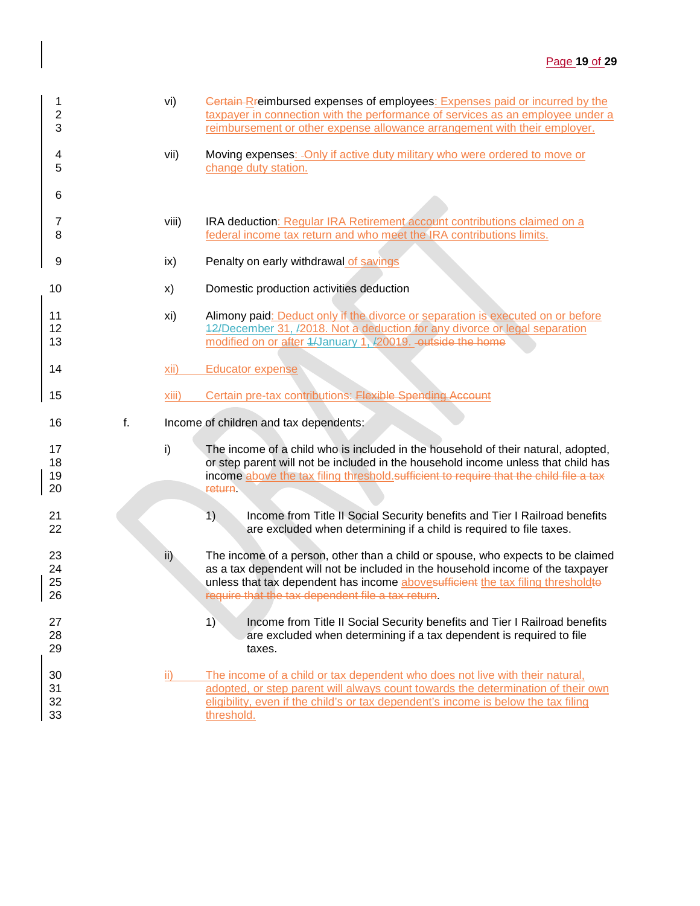| 1<br>$\overline{c}$<br>3 |    | vi)           | Certain-Rreimbursed expenses of employees: Expenses paid or incurred by the<br>taxpayer in connection with the performance of services as an employee under a<br>reimbursement or other expense allowance arrangement with their employer.                                                                 |
|--------------------------|----|---------------|------------------------------------------------------------------------------------------------------------------------------------------------------------------------------------------------------------------------------------------------------------------------------------------------------------|
| 4<br>5                   |    | vii)          | Moving expenses: - Only if active duty military who were ordered to move or<br>change duty station.                                                                                                                                                                                                        |
| 6                        |    |               |                                                                                                                                                                                                                                                                                                            |
| 7<br>8                   |    | viii)         | IRA deduction: Regular IRA Retirement account contributions claimed on a<br>federal income tax return and who meet the IRA contributions limits.                                                                                                                                                           |
| 9                        |    | ix)           | Penalty on early withdrawal of savings                                                                                                                                                                                                                                                                     |
| 10                       |    | X)            | Domestic production activities deduction                                                                                                                                                                                                                                                                   |
| 11<br>12<br>13           |    | xi)           | Alimony paid: Deduct only if the divorce or separation is executed on or before<br>42/December 31, /2018. Not a deduction for any divorce or legal separation<br>modified on or after 4/January 1, /20019. - outside the home                                                                              |
| 14                       |    | xii)          | <b>Educator expense</b>                                                                                                                                                                                                                                                                                    |
| 15                       |    | xiii)         | Certain pre-tax contributions: Flexible Spending Account                                                                                                                                                                                                                                                   |
| 16                       | f. |               | Income of children and tax dependents:                                                                                                                                                                                                                                                                     |
| 17<br>18<br>19<br>20     |    | i)            | The income of a child who is included in the household of their natural, adopted,<br>or step parent will not be included in the household income unless that child has<br>income above the tax filing threshold sufficient to require that the child file a tax<br>return.                                 |
| 21<br>22                 |    |               | 1)<br>Income from Title II Social Security benefits and Tier I Railroad benefits<br>are excluded when determining if a child is required to file taxes.                                                                                                                                                    |
| 23<br>24<br>25<br>26     |    | $\mathsf{ii}$ | The income of a person, other than a child or spouse, who expects to be claimed<br>as a tax dependent will not be included in the household income of the taxpayer<br>unless that tax dependent has income abovesufficient the tax filing thresholdte<br>require that the tax dependent file a tax return. |
| 27<br>28<br>29           |    |               | 1)<br>Income from Title II Social Security benefits and Tier I Railroad benefits<br>are excluded when determining if a tax dependent is required to file<br>taxes.                                                                                                                                         |
| 30<br>31<br>32<br>33     |    | ii)           | The income of a child or tax dependent who does not live with their natural,<br>adopted, or step parent will always count towards the determination of their own<br>eligibility, even if the child's or tax dependent's income is below the tax filing<br>threshold.                                       |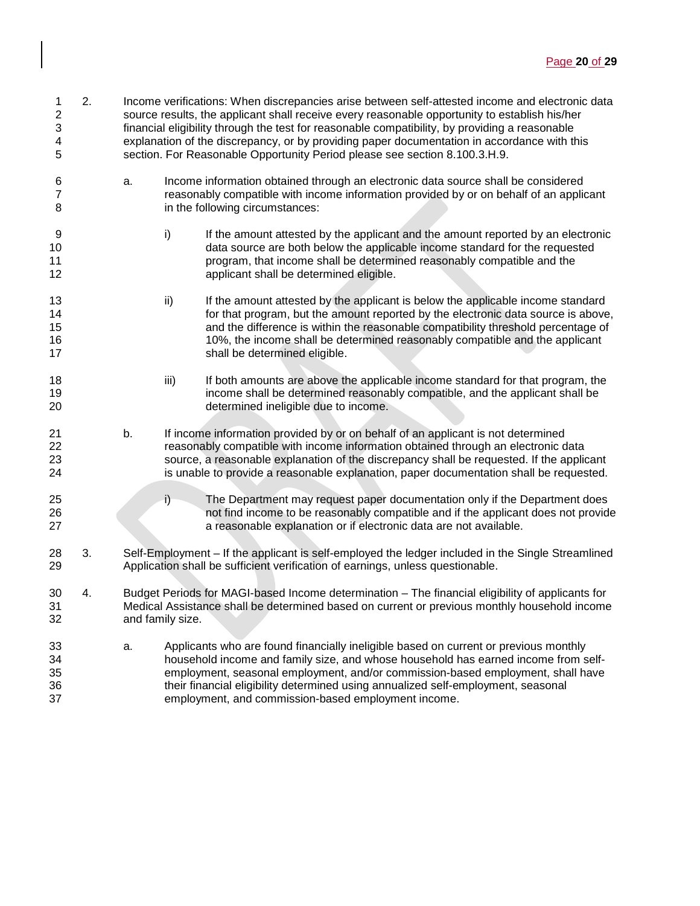| 1<br>$\boldsymbol{2}$<br>3<br>4<br>5 | 2. |    |                  | Income verifications: When discrepancies arise between self-attested income and electronic data<br>source results, the applicant shall receive every reasonable opportunity to establish his/her<br>financial eligibility through the test for reasonable compatibility, by providing a reasonable<br>explanation of the discrepancy, or by providing paper documentation in accordance with this<br>section. For Reasonable Opportunity Period please see section 8.100.3.H.9. |
|--------------------------------------|----|----|------------------|---------------------------------------------------------------------------------------------------------------------------------------------------------------------------------------------------------------------------------------------------------------------------------------------------------------------------------------------------------------------------------------------------------------------------------------------------------------------------------|
| 6<br>7<br>8                          |    | a. |                  | Income information obtained through an electronic data source shall be considered<br>reasonably compatible with income information provided by or on behalf of an applicant<br>in the following circumstances:                                                                                                                                                                                                                                                                  |
| 9<br>10<br>11<br>12                  |    |    | i)               | If the amount attested by the applicant and the amount reported by an electronic<br>data source are both below the applicable income standard for the requested<br>program, that income shall be determined reasonably compatible and the<br>applicant shall be determined eligible.                                                                                                                                                                                            |
| 13<br>14<br>15<br>16<br>17           |    |    | ii)              | If the amount attested by the applicant is below the applicable income standard<br>for that program, but the amount reported by the electronic data source is above,<br>and the difference is within the reasonable compatibility threshold percentage of<br>10%, the income shall be determined reasonably compatible and the applicant<br>shall be determined eligible.                                                                                                       |
| 18<br>19<br>20                       |    |    | iii)             | If both amounts are above the applicable income standard for that program, the<br>income shall be determined reasonably compatible, and the applicant shall be<br>determined ineligible due to income.                                                                                                                                                                                                                                                                          |
| 21<br>22<br>23<br>24                 |    | b. |                  | If income information provided by or on behalf of an applicant is not determined<br>reasonably compatible with income information obtained through an electronic data<br>source, a reasonable explanation of the discrepancy shall be requested. If the applicant<br>is unable to provide a reasonable explanation, paper documentation shall be requested.                                                                                                                     |
| 25<br>26<br>27                       |    |    | i)               | The Department may request paper documentation only if the Department does<br>not find income to be reasonably compatible and if the applicant does not provide<br>a reasonable explanation or if electronic data are not available.                                                                                                                                                                                                                                            |
| 28<br>29                             | 3. |    |                  | Self-Employment - If the applicant is self-employed the ledger included in the Single Streamlined<br>Application shall be sufficient verification of earnings, unless questionable.                                                                                                                                                                                                                                                                                             |
| 30<br>31<br>32                       | 4. |    | and family size. | Budget Periods for MAGI-based Income determination - The financial eligibility of applicants for<br>Medical Assistance shall be determined based on current or previous monthly household income                                                                                                                                                                                                                                                                                |
| 33<br>34<br>35<br>36<br>37           |    | a. |                  | Applicants who are found financially ineligible based on current or previous monthly<br>household income and family size, and whose household has earned income from self-<br>employment, seasonal employment, and/or commission-based employment, shall have<br>their financial eligibility determined using annualized self-employment, seasonal<br>employment, and commission-based employment income.                                                                       |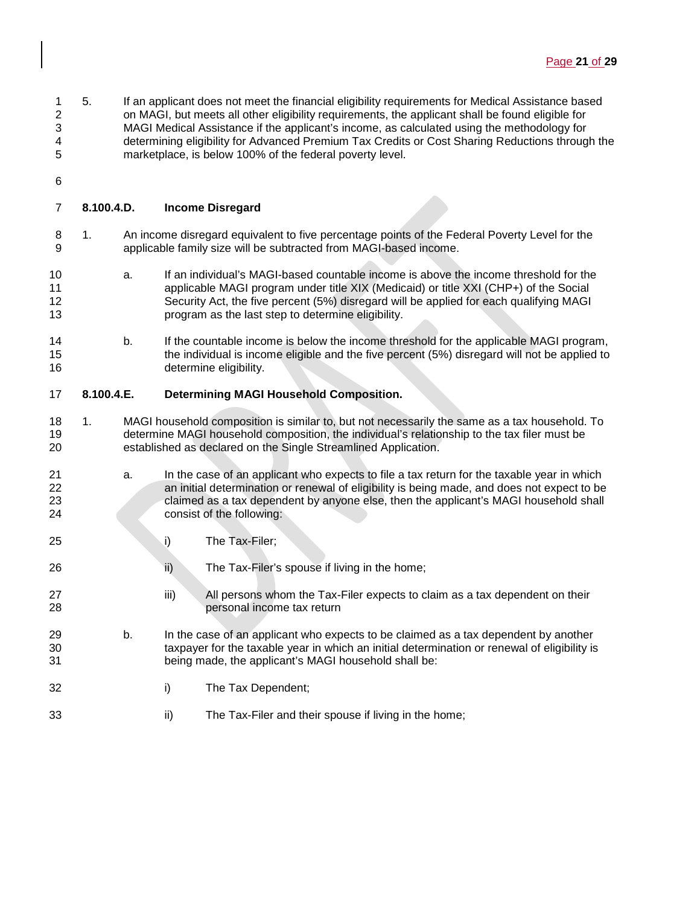- 1 5. If an applicant does not meet the financial eligibility requirements for Medical Assistance based<br>2 on MAGI, but meets all other eligibility requirements, the applicant shall be found eligible for on MAGI, but meets all other eligibility requirements, the applicant shall be found eligible for MAGI Medical Assistance if the applicant's income, as calculated using the methodology for 4 determining eligibility for Advanced Premium Tax Credits or Cost Sharing Reductions through the<br>5 marketplace, is below 100% of the federal poverty level. marketplace, is below 100% of the federal poverty level.
- 

# **8.100.4.D. Income Disregard**

- 1. An income disregard equivalent to five percentage points of the Federal Poverty Level for the applicable family size will be subtracted from MAGI-based income.
- a. If an individual's MAGI-based countable income is above the income threshold for the 11 applicable MAGI program under title XIX (Medicaid) or title XXI (CHP+) of the Social 12 Security Act, the five percent (5%) disregard will be applied for each qualifying MAGI<br>13 security and the last step to determine eligibility. program as the last step to determine eligibility.
- b. If the countable income is below the income threshold for the applicable MAGI program, the individual is income eligible and the five percent (5%) disregard will not be applied to determine eligibility.

## **8.100.4.E. Determining MAGI Household Composition.**

- 1. MAGI household composition is similar to, but not necessarily the same as a tax household. To 19 determine MAGI household composition, the individual's relationship to the tax filer must be 120<br>20 established as declared on the Single Streamlined Application. established as declared on the Single Streamlined Application.
- a. In the case of an applicant who expects to file a tax return for the taxable year in which an initial determination or renewal of eligibility is being made, and does not expect to be claimed as a tax dependent by anyone else, then the applicant's MAGI household shall consist of the following:
- i) The Tax-Filer;
- **iii)** The Tax-Filer's spouse if living in the home;
- 27 iii) All persons whom the Tax-Filer expects to claim as a tax dependent on their personal income tax return
- b. In the case of an applicant who expects to be claimed as a tax dependent by another 30 taxpayer for the taxable year in which an initial determination or renewal of eligibility is being made, the applicant's MAGI household shall be:
- i) The Tax Dependent;
- **iii** The Tax-Filer and their spouse if living in the home;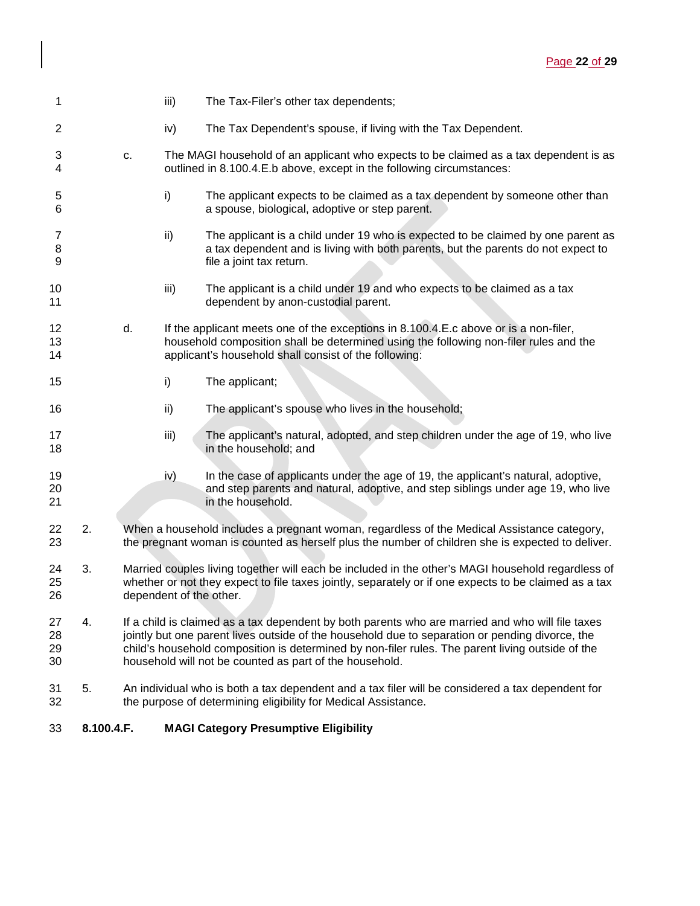| 1                    |    |    | iii)                    | The Tax-Filer's other tax dependents;                                                                                                                                                                                                                                                                                                                              |
|----------------------|----|----|-------------------------|--------------------------------------------------------------------------------------------------------------------------------------------------------------------------------------------------------------------------------------------------------------------------------------------------------------------------------------------------------------------|
| 2                    |    |    | iv)                     | The Tax Dependent's spouse, if living with the Tax Dependent.                                                                                                                                                                                                                                                                                                      |
| 3<br>4               |    | c. |                         | The MAGI household of an applicant who expects to be claimed as a tax dependent is as<br>outlined in 8.100.4.E.b above, except in the following circumstances:                                                                                                                                                                                                     |
| 5<br>6               |    |    | i)                      | The applicant expects to be claimed as a tax dependent by someone other than<br>a spouse, biological, adoptive or step parent.                                                                                                                                                                                                                                     |
| 7<br>8<br>9          |    |    | ii)                     | The applicant is a child under 19 who is expected to be claimed by one parent as<br>a tax dependent and is living with both parents, but the parents do not expect to<br>file a joint tax return.                                                                                                                                                                  |
| 10<br>11             |    |    | iii)                    | The applicant is a child under 19 and who expects to be claimed as a tax<br>dependent by anon-custodial parent.                                                                                                                                                                                                                                                    |
| 12<br>13<br>14       |    | d. |                         | If the applicant meets one of the exceptions in 8.100.4.E.c above or is a non-filer,<br>household composition shall be determined using the following non-filer rules and the<br>applicant's household shall consist of the following:                                                                                                                             |
| 15                   |    |    | i)                      | The applicant;                                                                                                                                                                                                                                                                                                                                                     |
| 16                   |    |    | ii)                     | The applicant's spouse who lives in the household;                                                                                                                                                                                                                                                                                                                 |
| 17<br>18             |    |    | iii)                    | The applicant's natural, adopted, and step children under the age of 19, who live<br>in the household; and                                                                                                                                                                                                                                                         |
| 19<br>20<br>21       |    |    | iv)                     | In the case of applicants under the age of 19, the applicant's natural, adoptive,<br>and step parents and natural, adoptive, and step siblings under age 19, who live<br>in the household.                                                                                                                                                                         |
| 22<br>23             | 2. |    |                         | When a household includes a pregnant woman, regardless of the Medical Assistance category,<br>the pregnant woman is counted as herself plus the number of children she is expected to deliver.                                                                                                                                                                     |
| 24<br>25<br>26       | 3. |    | dependent of the other. | Married couples living together will each be included in the other's MAGI household regardless of<br>whether or not they expect to file taxes jointly, separately or if one expects to be claimed as a tax                                                                                                                                                         |
| 27<br>28<br>29<br>30 | 4. |    |                         | If a child is claimed as a tax dependent by both parents who are married and who will file taxes<br>jointly but one parent lives outside of the household due to separation or pending divorce, the<br>child's household composition is determined by non-filer rules. The parent living outside of the<br>household will not be counted as part of the household. |
| 31<br>32             | 5. |    |                         | An individual who is both a tax dependent and a tax filer will be considered a tax dependent for<br>the purpose of determining eligibility for Medical Assistance.                                                                                                                                                                                                 |

# **8.100.4.F. MAGI Category Presumptive Eligibility**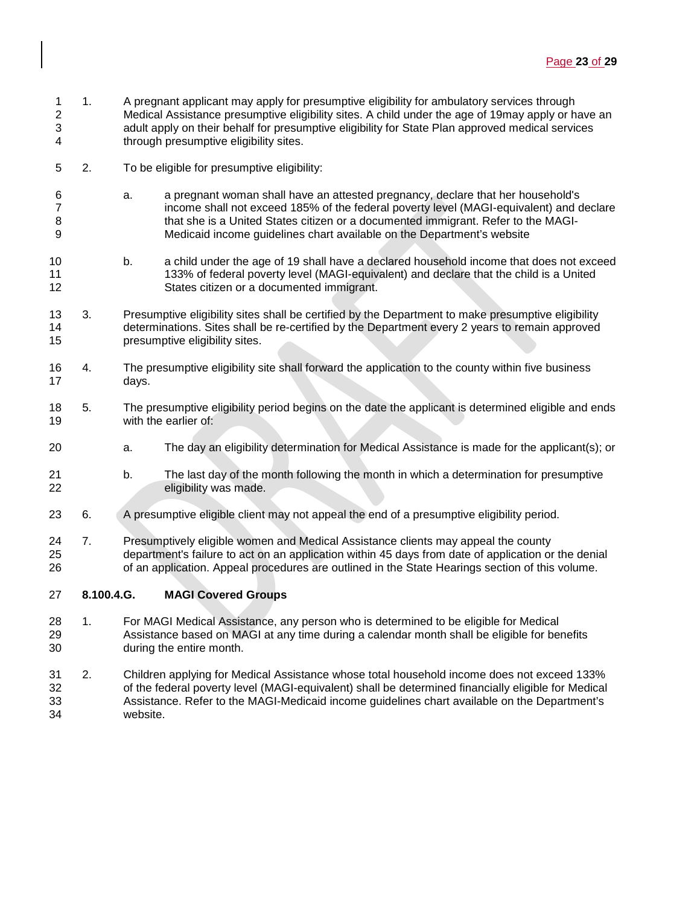- 1 1. A pregnant applicant may apply for presumptive eligibility for ambulatory services through<br>2 Medical Assistance presumptive eligibility sites. A child under the age of 19 may apply or h Medical Assistance presumptive eligibility sites. A child under the age of 19may apply or have an adult apply on their behalf for presumptive eligibility for State Plan approved medical services through presumptive eligibility sites.
- 2. To be eligible for presumptive eligibility:
- a. a pregnant woman shall have an attested pregnancy, declare that her household's 7 income shall not exceed 185% of the federal poverty level (MAGI-equivalent) and declare<br>8 intituate is a United States citizen or a documented immigrant. Refer to the MAGIthat she is a United States citizen or a documented immigrant. Refer to the MAGI-Medicaid income guidelines chart available on the Department's website
- b. a child under the age of 19 shall have a declared household income that does not exceed 133% of federal poverty level (MAGI-equivalent) and declare that the child is a United States citizen or a documented immigrant.
- 13 3. Presumptive eligibility sites shall be certified by the Department to make presumptive eligibility<br>14 determinations. Sites shall be re-certified by the Department every 2 years to remain approved determinations. Sites shall be re-certified by the Department every 2 years to remain approved presumptive eligibility sites.
- 4. The presumptive eligibility site shall forward the application to the county within five business days.
- 18 5. The presumptive eligibility period begins on the date the applicant is determined eligible and ends 19 with the earlier of:
- a. The day an eligibility determination for Medical Assistance is made for the applicant(s); or
- b. The last day of the month following the month in which a determination for presumptive eligibility was made.
- 6. A presumptive eligible client may not appeal the end of a presumptive eligibility period.
- 7. Presumptively eligible women and Medical Assistance clients may appeal the county department's failure to act on an application within 45 days from date of application or the denial of an application. Appeal procedures are outlined in the State Hearings section of this volume.
- **8.100.4.G. MAGI Covered Groups**
- 28 1. For MAGI Medical Assistance, any person who is determined to be eligible for Medical<br>29 Sassistance based on MAGI at any time during a calendar month shall be eligible for bei Assistance based on MAGI at any time during a calendar month shall be eligible for benefits during the entire month.
- 2. Children applying for Medical Assistance whose total household income does not exceed 133% of the federal poverty level (MAGI-equivalent) shall be determined financially eligible for Medical Assistance. Refer to the MAGI-Medicaid income guidelines chart available on the Department's website.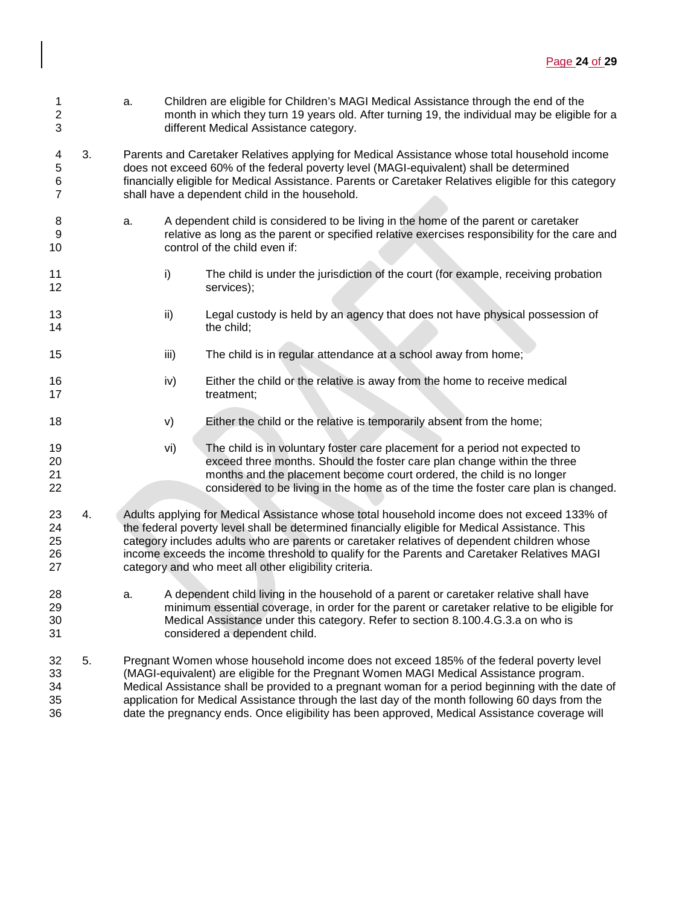- 1 a. Children are eligible for Children's MAGI Medical Assistance through the end of the<br>2 month in which they turn 19 years old. After turning 19, the individual may be eligible month in which they turn 19 years old. After turning 19, the individual may be eligible for a 3 different Medical Assistance category.
- 4 3. Parents and Caretaker Relatives applying for Medical Assistance whose total household income<br>5 does not exceed 60% of the federal poverty level (MAGI-equivalent) shall be determined 5 does not exceed 60% of the federal poverty level (MAGI-equivalent) shall be determined 6 financially eligible for Medical Assistance. Parents or Caretaker Relatives eligible for this category shall have a dependent child in the household.
- 8 a. A dependent child is considered to be living in the home of the parent or caretaker 9 relative as long as the parent or specified relative exercises responsibility for the care and 10 control of the child even if:
- 11 i) The child is under the jurisdiction of the court (for example, receiving probation 12 services);
- 13 ii) Legal custody is held by an agency that does not have physical possession of the child: the child:
- 15 **iii)** The child is in regular attendance at a school away from home;
- 16 iv) Either the child or the relative is away from the home to receive medical 17 treatment:
- 18 v) Either the child or the relative is temporarily absent from the home;
- 19 vi) The child is in voluntary foster care placement for a period not expected to<br>20 exceed three months. Should the foster care plan change within the three exceed three months. Should the foster care plan change within the three 21 months and the placement become court ordered, the child is no longer 22 considered to be living in the home as of the time the foster care plan is changed.
- 23 4. Adults applying for Medical Assistance whose total household income does not exceed 133% of 24 the federal poverty level shall be determined financially eligible for Medical Assistance. This 25 category includes adults who are parents or caretaker relatives of dependent children whose<br>26 income exceeds the income threshold to qualify for the Parents and Caretaker Relatives MAC income exceeds the income threshold to qualify for the Parents and Caretaker Relatives MAGI 27 category and who meet all other eligibility criteria.
- 28 a. A dependent child living in the household of a parent or caretaker relative shall have 29 minimum essential coverage, in order for the parent or caretaker relative to be eligible for 30 Medical Assistance under this category. Refer to section 8.100.4.G.3.a on who is 31 considered a dependent child.
- 32 5. Pregnant Women whose household income does not exceed 185% of the federal poverty level 33 (MAGI-equivalent) are eligible for the Pregnant Women MAGI Medical Assistance program. 34 Medical Assistance shall be provided to a pregnant woman for a period beginning with the date of<br>35 Show application for Medical Assistance through the last day of the month following 60 days from the application for Medical Assistance through the last day of the month following 60 days from the 36 date the pregnancy ends. Once eligibility has been approved, Medical Assistance coverage will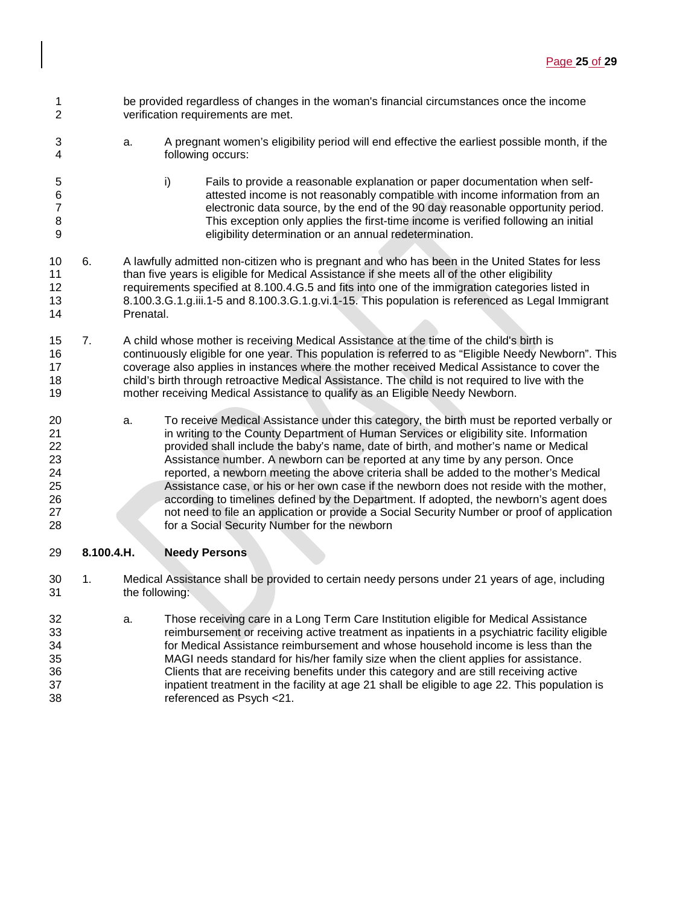- 1 be provided regardless of changes in the woman's financial circumstances once the income<br>2 verification requirements are met. verification requirements are met.
- a. A pregnant women's eligibility period will end effective the earliest possible month, if the following occurs:
- i) Fails to provide a reasonable explanation or paper documentation when self-6 attested income is not reasonably compatible with income information from an<br>electronic data source, by the end of the 90 day reasonable opportunity period. 7 electronic data source, by the end of the 90 day reasonable opportunity period.<br>8 This exception only applies the first-time income is verified following an initial 8 This exception only applies the first-time income is verified following an initial<br>9 eligibility determination or an annual redetermination. eligibility determination or an annual redetermination.
- 6. A lawfully admitted non-citizen who is pregnant and who has been in the United States for less than five years is eligible for Medical Assistance if she meets all of the other eligibility 12 requirements specified at 8.100.4.G.5 and fits into one of the immigration categories listed in<br>13 6.100.3.G.1.g.iii.1-5 and 8.100.3.G.1.g.vi.1-15. This population is referenced as Legal Immigr 8.100.3.G.1.g.iii.1-5 and 8.100.3.G.1.g.vi.1-15. This population is referenced as Legal Immigrant Prenatal.
- 7. A child whose mother is receiving Medical Assistance at the time of the child's birth is continuously eligible for one year. This population is referred to as "Eligible Needy Newborn". This coverage also applies in instances where the mother received Medical Assistance to cover the 18 child's birth through retroactive Medical Assistance. The child is not required to live with the 19<br>19 mother receiving Medical Assistance to qualify as an Eligible Needy Newborn. mother receiving Medical Assistance to qualify as an Eligible Needy Newborn.
- 20 a. To receive Medical Assistance under this category, the birth must be reported verbally or<br>21 and the County Department of Human Services or eligibility site. Information in writing to the County Department of Human Services or eligibility site. Information provided shall include the baby's name, date of birth, and mother's name or Medical Assistance number. A newborn can be reported at any time by any person. Once reported, a newborn meeting the above criteria shall be added to the mother's Medical Assistance case, or his or her own case if the newborn does not reside with the mother, according to timelines defined by the Department. If adopted, the newborn's agent does not need to file an application or provide a Social Security Number or proof of application for a Social Security Number for the newborn

# **8.100.4.H. Needy Persons**

- 1. Medical Assistance shall be provided to certain needy persons under 21 years of age, including the following:
- a. Those receiving care in a Long Term Care Institution eligible for Medical Assistance reimbursement or receiving active treatment as inpatients in a psychiatric facility eligible for Medical Assistance reimbursement and whose household income is less than the MAGI needs standard for his/her family size when the client applies for assistance. Clients that are receiving benefits under this category and are still receiving active 37 inpatient treatment in the facility at age 21 shall be eligible to age 22. This population is<br>38 feferenced as Psych <21. referenced as Psych <21.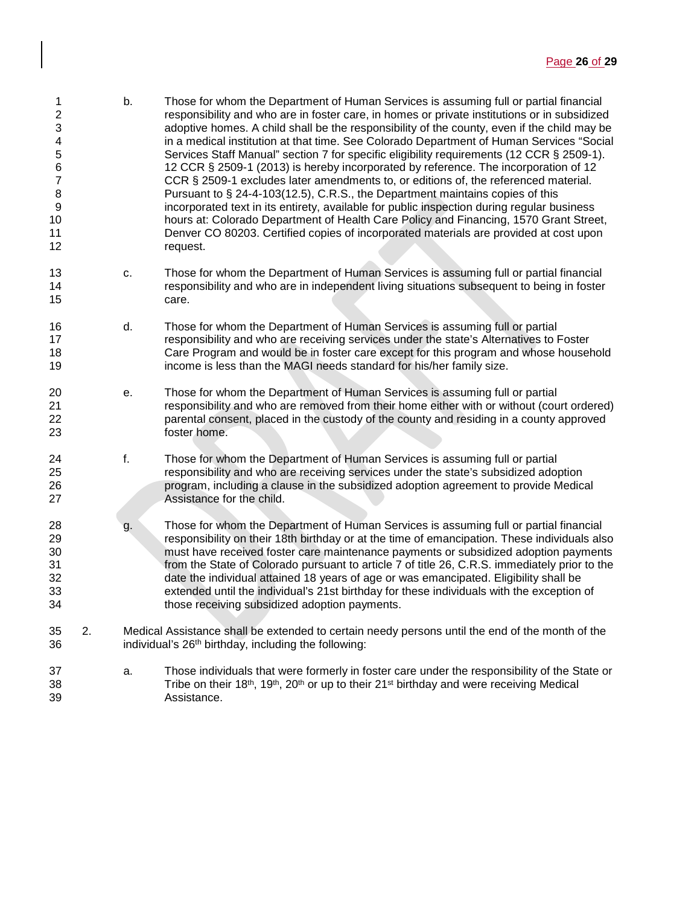- 1 b. Those for whom the Department of Human Services is assuming full or partial financial<br>2 examples on private institutions or in subsidized responsibility and who are in foster care, in homes or private institutions or in subsidized adoptive homes. A child shall be the responsibility of the county, even if the child may be 4 in a medical institution at that time. See Colorado Department of Human Services "Social<br>5 Services Staff Manual" section 7 for specific eligibility requirements (12 CCR § 2509-1). Services Staff Manual" section 7 for specific eligibility requirements (12 CCR § 2509-1). 12 CCR § 2509-1 (2013) is hereby incorporated by reference. The incorporation of 12 CCR § 2509-1 excludes later amendments to, or editions of, the referenced material. 8 **8** Pursuant to § 24-4-103(12.5), C.R.S., the Department maintains copies of this<br>9 incorporated text in its entirety, available for public inspection during regular bu incorporated text in its entirety, available for public inspection during regular business hours at: Colorado Department of Health Care Policy and Financing, 1570 Grant Street, Denver CO 80203. Certified copies of incorporated materials are provided at cost upon 12 request.
- c. Those for whom the Department of Human Services is assuming full or partial financial responsibility and who are in independent living situations subsequent to being in foster care.
- d. Those for whom the Department of Human Services is assuming full or partial **17 responsibility and who are receiving services under the state's Alternatives to Foster** 18 Care Program and would be in foster care except for this program and whose household<br>19 The income is less than the MAGI needs standard for his/her family size. income is less than the MAGI needs standard for his/her family size.
- e. Those for whom the Department of Human Services is assuming full or partial responsibility and who are removed from their home either with or without (court ordered) parental consent, placed in the custody of the county and residing in a county approved foster home.
- f. Those for whom the Department of Human Services is assuming full or partial responsibility and who are receiving services under the state's subsidized adoption program, including a clause in the subsidized adoption agreement to provide Medical Assistance for the child.
- g. Those for whom the Department of Human Services is assuming full or partial financial responsibility on their 18th birthday or at the time of emancipation. These individuals also must have received foster care maintenance payments or subsidized adoption payments from the State of Colorado pursuant to article 7 of title 26, C.R.S. immediately prior to the date the individual attained 18 years of age or was emancipated. Eligibility shall be 33 extended until the individual's 21st birthday for these individuals with the exception of 34 states those receiving subsidized adoption payments. those receiving subsidized adoption payments.
- 2. Medical Assistance shall be extended to certain needy persons until the end of the month of the individual's  $26<sup>th</sup>$  birthday, including the following:
- a. Those individuals that were formerly in foster care under the responsibility of the State or 38 Tribe on their  $18<sup>th</sup>$ ,  $19<sup>th</sup>$ ,  $20<sup>th</sup>$  or up to their  $21<sup>st</sup>$  birthday and were receiving Medical Assistance.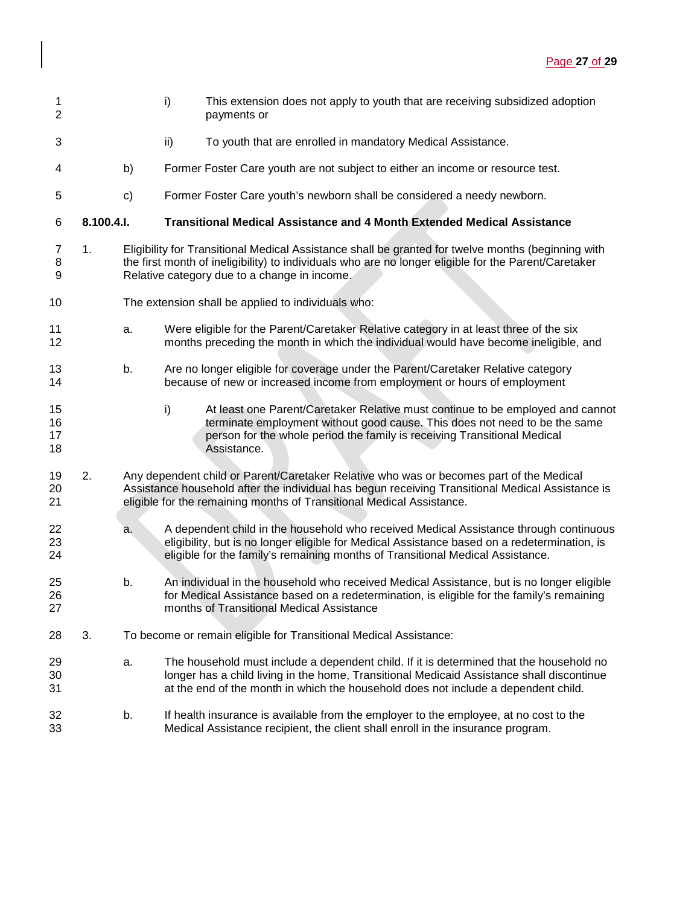| 1<br>$\overline{2}$      |            |    | i)<br>This extension does not apply to youth that are receiving subsidized adoption<br>payments or                                                                                                                                                                         |
|--------------------------|------------|----|----------------------------------------------------------------------------------------------------------------------------------------------------------------------------------------------------------------------------------------------------------------------------|
| 3                        |            |    | To youth that are enrolled in mandatory Medical Assistance.<br>ii)                                                                                                                                                                                                         |
| 4                        |            | b) | Former Foster Care youth are not subject to either an income or resource test.                                                                                                                                                                                             |
| 5                        |            | c) | Former Foster Care youth's newborn shall be considered a needy newborn.                                                                                                                                                                                                    |
| 6                        | 8.100.4.I. |    | <b>Transitional Medical Assistance and 4 Month Extended Medical Assistance</b>                                                                                                                                                                                             |
| $\overline{7}$<br>8<br>9 | 1.         |    | Eligibility for Transitional Medical Assistance shall be granted for twelve months (beginning with<br>the first month of ineligibility) to individuals who are no longer eligible for the Parent/Caretaker<br>Relative category due to a change in income.                 |
| 10                       |            |    | The extension shall be applied to individuals who:                                                                                                                                                                                                                         |
| 11<br>12                 |            | a. | Were eligible for the Parent/Caretaker Relative category in at least three of the six<br>months preceding the month in which the individual would have become ineligible, and                                                                                              |
| 13<br>14                 |            | b. | Are no longer eligible for coverage under the Parent/Caretaker Relative category<br>because of new or increased income from employment or hours of employment                                                                                                              |
| 15<br>16<br>17<br>18     |            |    | i)<br>At least one Parent/Caretaker Relative must continue to be employed and cannot<br>terminate employment without good cause. This does not need to be the same<br>person for the whole period the family is receiving Transitional Medical<br>Assistance.              |
| 19<br>20<br>21           | 2.         |    | Any dependent child or Parent/Caretaker Relative who was or becomes part of the Medical<br>Assistance household after the individual has begun receiving Transitional Medical Assistance is<br>eligible for the remaining months of Transitional Medical Assistance.       |
| 22<br>23<br>24           |            | a. | A dependent child in the household who received Medical Assistance through continuous<br>eligibility, but is no longer eligible for Medical Assistance based on a redetermination, is<br>eligible for the family's remaining months of Transitional Medical Assistance.    |
| 25<br>26<br>27           |            | b. | An individual in the household who received Medical Assistance, but is no longer eligible<br>for Medical Assistance based on a redetermination, is eligible for the family's remaining<br>months of Transitional Medical Assistance                                        |
| 28                       | 3.         |    | To become or remain eligible for Transitional Medical Assistance:                                                                                                                                                                                                          |
| 29<br>30<br>31           |            | a. | The household must include a dependent child. If it is determined that the household no<br>longer has a child living in the home, Transitional Medicaid Assistance shall discontinue<br>at the end of the month in which the household does not include a dependent child. |
| 32<br>33                 |            | b. | If health insurance is available from the employer to the employee, at no cost to the<br>Medical Assistance recipient, the client shall enroll in the insurance program.                                                                                                   |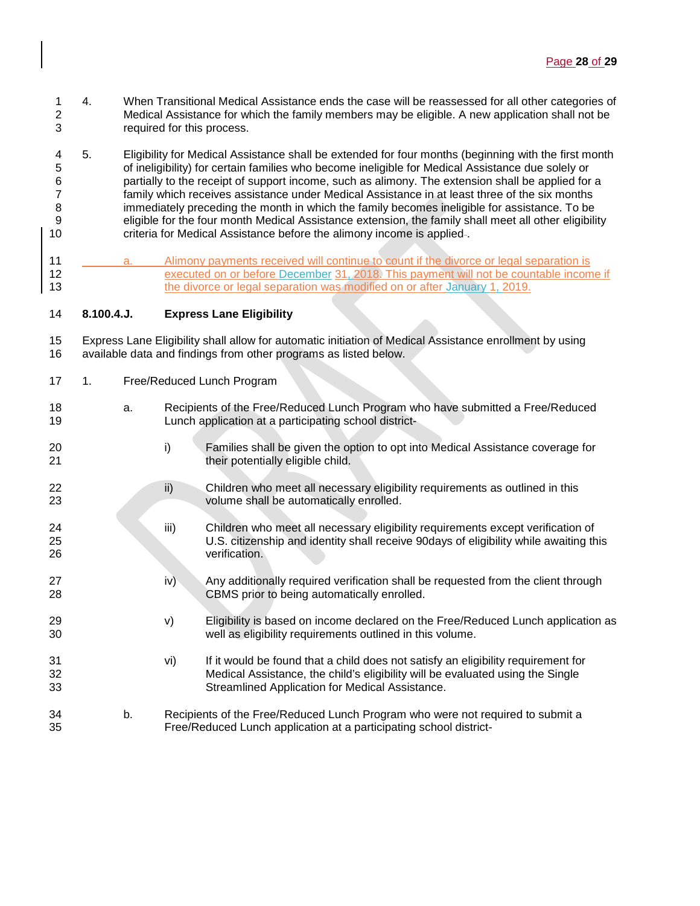- 1 4. When Transitional Medical Assistance ends the case will be reassessed for all other categories of 2<br>2 Medical Assistance for which the family members may be eligible. A new application shall not be Medical Assistance for which the family members may be eligible. A new application shall not be required for this process.
- 4 5. Eligibility for Medical Assistance shall be extended for four months (beginning with the first month 5<br>5 of ineligibility) for certain families who become ineligible for Medical Assistance due solely or of ineligibility) for certain families who become ineligible for Medical Assistance due solely or partially to the receipt of support income, such as alimony. The extension shall be applied for a family which receives assistance under Medical Assistance in at least three of the six months immediately preceding the month in which the family becomes ineligible for assistance. To be eligible for the four month Medical Assistance extension, the family shall meet all other eligibility criteria for Medical Assistance before the alimony income is applied .
- a. Alimony payments received will continue to count if the divorce or legal separation is executed on or before December 31, 2018. This payment will not be countable income if 13 the divorce or legal separation was modified on or after January 1, 2019.

## **8.100.4.J. Express Lane Eligibility**

 Express Lane Eligibility shall allow for automatic initiation of Medical Assistance enrollment by using available data and findings from other programs as listed below.

- 1. Free/Reduced Lunch Program
- a. Recipients of the Free/Reduced Lunch Program who have submitted a Free/Reduced Lunch application at a participating school district-
- i) Families shall be given the option to opt into Medical Assistance coverage for **their potentially eligible child.**
- 22 ii) Children who meet all necessary eligibility requirements as outlined in this volume shall be automatically enrolled.
- iii) Children who meet all necessary eligibility requirements except verification of 25 U.S. citizenship and identity shall receive 90days of eligibility while awaiting this verification. verification.
- 27 iv) Any additionally required verification shall be requested from the client through 28 CBMS prior to being automatically enrolled.
- 29 v) Eligibility is based on income declared on the Free/Reduced Lunch application as well as eligibility requirements outlined in this volume.
- vi) If it would be found that a child does not satisfy an eligibility requirement for Medical Assistance, the child's eligibility will be evaluated using the Single Streamlined Application for Medical Assistance.
- b. Recipients of the Free/Reduced Lunch Program who were not required to submit a Free/Reduced Lunch application at a participating school district-